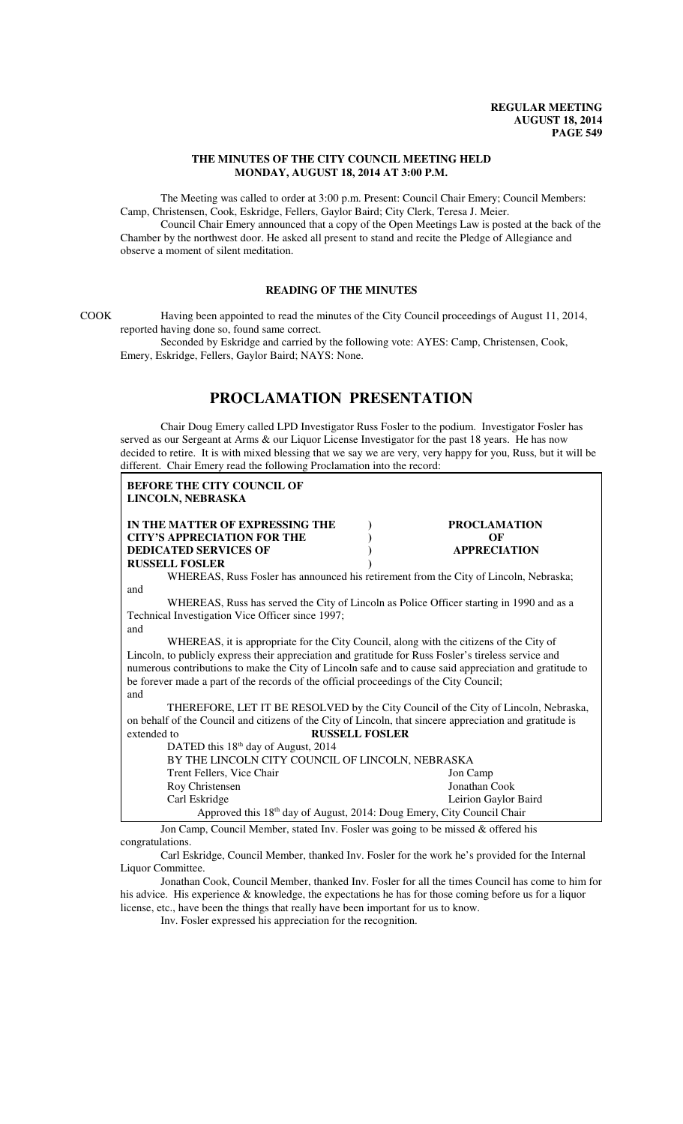### **THE MINUTES OF THE CITY COUNCIL MEETING HELD MONDAY, AUGUST 18, 2014 AT 3:00 P.M.**

The Meeting was called to order at 3:00 p.m. Present: Council Chair Emery; Council Members: Camp, Christensen, Cook, Eskridge, Fellers, Gaylor Baird; City Clerk, Teresa J. Meier.

Council Chair Emery announced that a copy of the Open Meetings Law is posted at the back of the Chamber by the northwest door. He asked all present to stand and recite the Pledge of Allegiance and observe a moment of silent meditation.

### **READING OF THE MINUTES**

COOK Having been appointed to read the minutes of the City Council proceedings of August 11, 2014, reported having done so, found same correct.

Seconded by Eskridge and carried by the following vote: AYES: Camp, Christensen, Cook, Emery, Eskridge, Fellers, Gaylor Baird; NAYS: None.

# **PROCLAMATION PRESENTATION**

Chair Doug Emery called LPD Investigator Russ Fosler to the podium. Investigator Fosler has served as our Sergeant at Arms & our Liquor License Investigator for the past 18 years. He has now decided to retire. It is with mixed blessing that we say we are very, very happy for you, Russ, but it will be different. Chair Emery read the following Proclamation into the record:

| <b>BEFORE THE CITY COUNCIL OF</b>                                                                        |                                                                                     |
|----------------------------------------------------------------------------------------------------------|-------------------------------------------------------------------------------------|
| LINCOLN, NEBRASKA                                                                                        |                                                                                     |
| IN THE MATTER OF EXPRESSING THE                                                                          | <b>PROCLAMATION</b>                                                                 |
| <b>CITY'S APPRECIATION FOR THE</b>                                                                       | OF                                                                                  |
| <b>DEDICATED SERVICES OF</b>                                                                             | <b>APPRECIATION</b>                                                                 |
| <b>RUSSELL FOSLER</b>                                                                                    |                                                                                     |
| WHEREAS, Russ Fosler has announced his retirement from the City of Lincoln, Nebraska;                    |                                                                                     |
| and                                                                                                      |                                                                                     |
| WHEREAS, Russ has served the City of Lincoln as Police Officer starting in 1990 and as a                 |                                                                                     |
| Technical Investigation Vice Officer since 1997;                                                         |                                                                                     |
| and                                                                                                      |                                                                                     |
| WHEREAS, it is appropriate for the City Council, along with the citizens of the City of                  |                                                                                     |
| Lincoln, to publicly express their appreciation and gratitude for Russ Fosler's tireless service and     |                                                                                     |
| numerous contributions to make the City of Lincoln safe and to cause said appreciation and gratitude to  |                                                                                     |
| be forever made a part of the records of the official proceedings of the City Council;                   |                                                                                     |
| and                                                                                                      |                                                                                     |
|                                                                                                          | THEREFORE, LET IT BE RESOLVED by the City Council of the City of Lincoln, Nebraska, |
| on behalf of the Council and citizens of the City of Lincoln, that sincere appreciation and gratitude is |                                                                                     |
| extended to<br><b>RUSSELL FOSLER</b>                                                                     |                                                                                     |
|                                                                                                          |                                                                                     |
| DATED this 18 <sup>th</sup> day of August, 2014                                                          |                                                                                     |
| BY THE LINCOLN CITY COUNCIL OF LINCOLN, NEBRASKA                                                         |                                                                                     |
| Trent Fellers, Vice Chair                                                                                | Jon Camp                                                                            |
| Roy Christensen                                                                                          | Jonathan Cook                                                                       |

Approved this 18th day of August, 2014: Doug Emery, City Council Chair Jon Camp, Council Member, stated Inv. Fosler was going to be missed & offered his congratulations.

Carl Eskridge, Council Member, thanked Inv. Fosler for the work he's provided for the Internal Liquor Committee.

Carl Eskridge Leirion Gaylor Baird

Jonathan Cook, Council Member, thanked Inv. Fosler for all the times Council has come to him for his advice. His experience & knowledge, the expectations he has for those coming before us for a liquor license, etc., have been the things that really have been important for us to know.

Inv. Fosler expressed his appreciation for the recognition.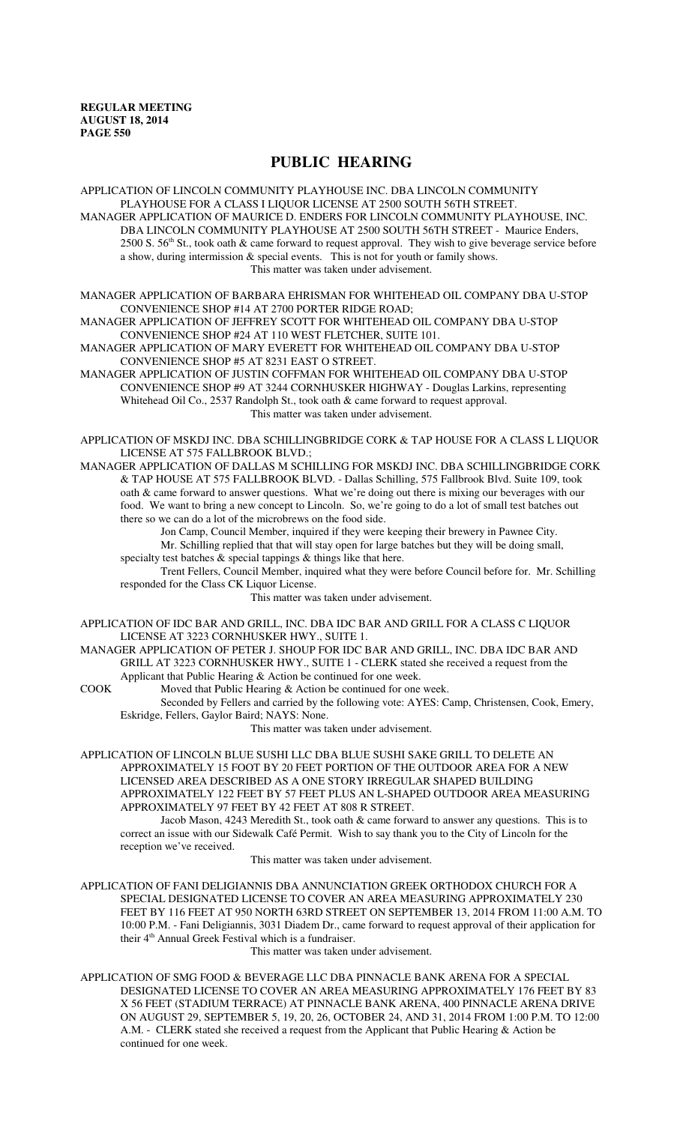# **PUBLIC HEARING**

APPLICATION OF LINCOLN COMMUNITY PLAYHOUSE INC. DBA LINCOLN COMMUNITY PLAYHOUSE FOR A CLASS I LIQUOR LICENSE AT 2500 SOUTH 56TH STREET. MANAGER APPLICATION OF MAURICE D. ENDERS FOR LINCOLN COMMUNITY PLAYHOUSE, INC. DBA LINCOLN COMMUNITY PLAYHOUSE AT 2500 SOUTH 56TH STREET - Maurice Enders, 2500 S. 56<sup>th</sup> St., took oath & came forward to request approval. They wish to give beverage service before a show, during intermission & special events. This is not for youth or family shows. This matter was taken under advisement.

MANAGER APPLICATION OF BARBARA EHRISMAN FOR WHITEHEAD OIL COMPANY DBA U-STOP CONVENIENCE SHOP #14 AT 2700 PORTER RIDGE ROAD;

MANAGER APPLICATION OF JEFFREY SCOTT FOR WHITEHEAD OIL COMPANY DBA U-STOP CONVENIENCE SHOP #24 AT 110 WEST FLETCHER, SUITE 101.

MANAGER APPLICATION OF MARY EVERETT FOR WHITEHEAD OIL COMPANY DBA U-STOP CONVENIENCE SHOP #5 AT 8231 EAST O STREET.

MANAGER APPLICATION OF JUSTIN COFFMAN FOR WHITEHEAD OIL COMPANY DBA U-STOP CONVENIENCE SHOP #9 AT 3244 CORNHUSKER HIGHWAY - Douglas Larkins, representing Whitehead Oil Co., 2537 Randolph St., took oath & came forward to request approval. This matter was taken under advisement.

APPLICATION OF MSKDJ INC. DBA SCHILLINGBRIDGE CORK & TAP HOUSE FOR A CLASS L LIQUOR LICENSE AT 575 FALLBROOK BLVD.;

MANAGER APPLICATION OF DALLAS M SCHILLING FOR MSKDJ INC. DBA SCHILLINGBRIDGE CORK & TAP HOUSE AT 575 FALLBROOK BLVD. - Dallas Schilling, 575 Fallbrook Blvd. Suite 109, took oath & came forward to answer questions. What we're doing out there is mixing our beverages with our food. We want to bring a new concept to Lincoln. So, we're going to do a lot of small test batches out there so we can do a lot of the microbrews on the food side.

Jon Camp, Council Member, inquired if they were keeping their brewery in Pawnee City. Mr. Schilling replied that that will stay open for large batches but they will be doing small, specialty test batches & special tappings & things like that here.

Trent Fellers, Council Member, inquired what they were before Council before for. Mr. Schilling responded for the Class CK Liquor License.

This matter was taken under advisement.

APPLICATION OF IDC BAR AND GRILL, INC. DBA IDC BAR AND GRILL FOR A CLASS C LIQUOR LICENSE AT 3223 CORNHUSKER HWY., SUITE 1.

MANAGER APPLICATION OF PETER J. SHOUP FOR IDC BAR AND GRILL, INC. DBA IDC BAR AND GRILL AT 3223 CORNHUSKER HWY., SUITE 1 - CLERK stated she received a request from the Applicant that Public Hearing & Action be continued for one week.

COOK Moved that Public Hearing & Action be continued for one week.

Seconded by Fellers and carried by the following vote: AYES: Camp, Christensen, Cook, Emery, Eskridge, Fellers, Gaylor Baird; NAYS: None.

This matter was taken under advisement.

APPLICATION OF LINCOLN BLUE SUSHI LLC DBA BLUE SUSHI SAKE GRILL TO DELETE AN APPROXIMATELY 15 FOOT BY 20 FEET PORTION OF THE OUTDOOR AREA FOR A NEW LICENSED AREA DESCRIBED AS A ONE STORY IRREGULAR SHAPED BUILDING APPROXIMATELY 122 FEET BY 57 FEET PLUS AN L-SHAPED OUTDOOR AREA MEASURING APPROXIMATELY 97 FEET BY 42 FEET AT 808 R STREET.

Jacob Mason, 4243 Meredith St., took oath & came forward to answer any questions. This is to correct an issue with our Sidewalk Café Permit. Wish to say thank you to the City of Lincoln for the reception we've received.

This matter was taken under advisement.

APPLICATION OF FANI DELIGIANNIS DBA ANNUNCIATION GREEK ORTHODOX CHURCH FOR A SPECIAL DESIGNATED LICENSE TO COVER AN AREA MEASURING APPROXIMATELY 230 FEET BY 116 FEET AT 950 NORTH 63RD STREET ON SEPTEMBER 13, 2014 FROM 11:00 A.M. TO 10:00 P.M. - Fani Deligiannis, 3031 Diadem Dr., came forward to request approval of their application for their 4<sup>th</sup> Annual Greek Festival which is a fundraiser.

This matter was taken under advisement.

APPLICATION OF SMG FOOD & BEVERAGE LLC DBA PINNACLE BANK ARENA FOR A SPECIAL DESIGNATED LICENSE TO COVER AN AREA MEASURING APPROXIMATELY 176 FEET BY 83 X 56 FEET (STADIUM TERRACE) AT PINNACLE BANK ARENA, 400 PINNACLE ARENA DRIVE ON AUGUST 29, SEPTEMBER 5, 19, 20, 26, OCTOBER 24, AND 31, 2014 FROM 1:00 P.M. TO 12:00 A.M. - CLERK stated she received a request from the Applicant that Public Hearing & Action be continued for one week.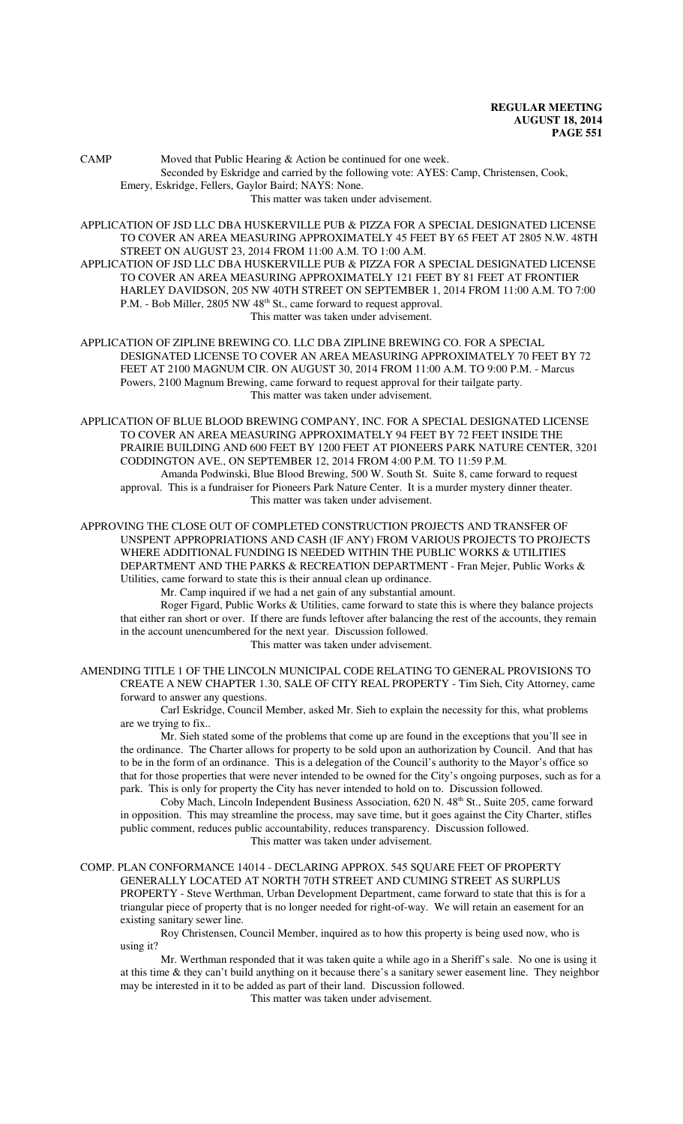CAMP Moved that Public Hearing & Action be continued for one week. Seconded by Eskridge and carried by the following vote: AYES: Camp, Christensen, Cook, Emery, Eskridge, Fellers, Gaylor Baird; NAYS: None. This matter was taken under advisement.

APPLICATION OF JSD LLC DBA HUSKERVILLE PUB & PIZZA FOR A SPECIAL DESIGNATED LICENSE TO COVER AN AREA MEASURING APPROXIMATELY 45 FEET BY 65 FEET AT 2805 N.W. 48TH STREET ON AUGUST 23, 2014 FROM 11:00 A.M. TO 1:00 A.M.

APPLICATION OF JSD LLC DBA HUSKERVILLE PUB & PIZZA FOR A SPECIAL DESIGNATED LICENSE TO COVER AN AREA MEASURING APPROXIMATELY 121 FEET BY 81 FEET AT FRONTIER HARLEY DAVIDSON, 205 NW 40TH STREET ON SEPTEMBER 1, 2014 FROM 11:00 A.M. TO 7:00 P.M. - Bob Miller, 2805 NW 48<sup>th</sup> St., came forward to request approval. This matter was taken under advisement.

APPLICATION OF ZIPLINE BREWING CO. LLC DBA ZIPLINE BREWING CO. FOR A SPECIAL DESIGNATED LICENSE TO COVER AN AREA MEASURING APPROXIMATELY 70 FEET BY 72 FEET AT 2100 MAGNUM CIR. ON AUGUST 30, 2014 FROM 11:00 A.M. TO 9:00 P.M. - Marcus Powers, 2100 Magnum Brewing, came forward to request approval for their tailgate party. This matter was taken under advisement.

APPLICATION OF BLUE BLOOD BREWING COMPANY, INC. FOR A SPECIAL DESIGNATED LICENSE TO COVER AN AREA MEASURING APPROXIMATELY 94 FEET BY 72 FEET INSIDE THE PRAIRIE BUILDING AND 600 FEET BY 1200 FEET AT PIONEERS PARK NATURE CENTER, 3201 CODDINGTON AVE., ON SEPTEMBER 12, 2014 FROM 4:00 P.M. TO 11:59 P.M. Amanda Podwinski, Blue Blood Brewing, 500 W. South St. Suite 8, came forward to request approval. This is a fundraiser for Pioneers Park Nature Center. It is a murder mystery dinner theater. This matter was taken under advisement.

APPROVING THE CLOSE OUT OF COMPLETED CONSTRUCTION PROJECTS AND TRANSFER OF UNSPENT APPROPRIATIONS AND CASH (IF ANY) FROM VARIOUS PROJECTS TO PROJECTS WHERE ADDITIONAL FUNDING IS NEEDED WITHIN THE PUBLIC WORKS & UTILITIES DEPARTMENT AND THE PARKS & RECREATION DEPARTMENT - Fran Mejer, Public Works & Utilities, came forward to state this is their annual clean up ordinance.

Mr. Camp inquired if we had a net gain of any substantial amount.

Roger Figard, Public Works & Utilities, came forward to state this is where they balance projects that either ran short or over. If there are funds leftover after balancing the rest of the accounts, they remain in the account unencumbered for the next year. Discussion followed. This matter was taken under advisement.

AMENDING TITLE 1 OF THE LINCOLN MUNICIPAL CODE RELATING TO GENERAL PROVISIONS TO CREATE A NEW CHAPTER 1.30, SALE OF CITY REAL PROPERTY - Tim Sieh, City Attorney, came forward to answer any questions.

Carl Eskridge, Council Member, asked Mr. Sieh to explain the necessity for this, what problems are we trying to fix..

Mr. Sieh stated some of the problems that come up are found in the exceptions that you'll see in the ordinance. The Charter allows for property to be sold upon an authorization by Council. And that has to be in the form of an ordinance. This is a delegation of the Council's authority to the Mayor's office so that for those properties that were never intended to be owned for the City's ongoing purposes, such as for a park. This is only for property the City has never intended to hold on to. Discussion followed.

Coby Mach, Lincoln Independent Business Association, 620 N. 48<sup>th</sup> St., Suite 205, came forward in opposition. This may streamline the process, may save time, but it goes against the City Charter, stifles public comment, reduces public accountability, reduces transparency. Discussion followed. This matter was taken under advisement.

COMP. PLAN CONFORMANCE 14014 - DECLARING APPROX. 545 SQUARE FEET OF PROPERTY GENERALLY LOCATED AT NORTH 70TH STREET AND CUMING STREET AS SURPLUS PROPERTY - Steve Werthman, Urban Development Department, came forward to state that this is for a triangular piece of property that is no longer needed for right-of-way. We will retain an easement for an existing sanitary sewer line.

Roy Christensen, Council Member, inquired as to how this property is being used now, who is using it?

Mr. Werthman responded that it was taken quite a while ago in a Sheriff's sale. No one is using it at this time & they can't build anything on it because there's a sanitary sewer easement line. They neighbor may be interested in it to be added as part of their land. Discussion followed.

This matter was taken under advisement.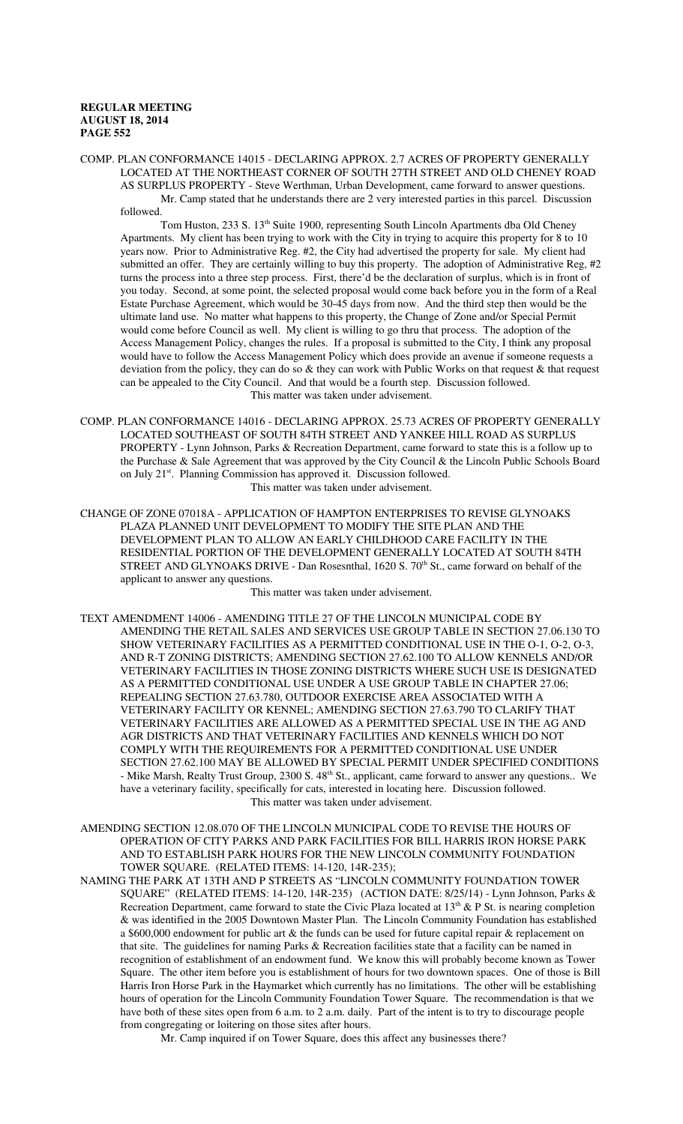COMP. PLAN CONFORMANCE 14015 - DECLARING APPROX. 2.7 ACRES OF PROPERTY GENERALLY LOCATED AT THE NORTHEAST CORNER OF SOUTH 27TH STREET AND OLD CHENEY ROAD AS SURPLUS PROPERTY - Steve Werthman, Urban Development, came forward to answer questions. Mr. Camp stated that he understands there are 2 very interested parties in this parcel. Discussion followed.

Tom Huston, 233 S. 13<sup>th</sup> Suite 1900, representing South Lincoln Apartments dba Old Cheney Apartments. My client has been trying to work with the City in trying to acquire this property for 8 to 10 years now. Prior to Administrative Reg. #2, the City had advertised the property for sale. My client had submitted an offer. They are certainly willing to buy this property. The adoption of Administrative Reg, #2 turns the process into a three step process. First, there'd be the declaration of surplus, which is in front of you today. Second, at some point, the selected proposal would come back before you in the form of a Real Estate Purchase Agreement, which would be 30-45 days from now. And the third step then would be the ultimate land use. No matter what happens to this property, the Change of Zone and/or Special Permit would come before Council as well. My client is willing to go thru that process. The adoption of the Access Management Policy, changes the rules. If a proposal is submitted to the City, I think any proposal would have to follow the Access Management Policy which does provide an avenue if someone requests a deviation from the policy, they can do so & they can work with Public Works on that request & that request can be appealed to the City Council. And that would be a fourth step. Discussion followed. This matter was taken under advisement.

- COMP. PLAN CONFORMANCE 14016 DECLARING APPROX. 25.73 ACRES OF PROPERTY GENERALLY LOCATED SOUTHEAST OF SOUTH 84TH STREET AND YANKEE HILL ROAD AS SURPLUS PROPERTY - Lynn Johnson, Parks & Recreation Department, came forward to state this is a follow up to the Purchase & Sale Agreement that was approved by the City Council & the Lincoln Public Schools Board on July 21<sup>st</sup>. Planning Commission has approved it. Discussion followed. This matter was taken under advisement.
- CHANGE OF ZONE 07018A APPLICATION OF HAMPTON ENTERPRISES TO REVISE GLYNOAKS PLAZA PLANNED UNIT DEVELOPMENT TO MODIFY THE SITE PLAN AND THE DEVELOPMENT PLAN TO ALLOW AN EARLY CHILDHOOD CARE FACILITY IN THE RESIDENTIAL PORTION OF THE DEVELOPMENT GENERALLY LOCATED AT SOUTH 84TH STREET AND GLYNOAKS DRIVE - Dan Rosesnthal, 1620 S. 70<sup>th</sup> St., came forward on behalf of the applicant to answer any questions.

This matter was taken under advisement.

- TEXT AMENDMENT 14006 AMENDING TITLE 27 OF THE LINCOLN MUNICIPAL CODE BY AMENDING THE RETAIL SALES AND SERVICES USE GROUP TABLE IN SECTION 27.06.130 TO SHOW VETERINARY FACILITIES AS A PERMITTED CONDITIONAL USE IN THE O-1, O-2, O-3, AND R-T ZONING DISTRICTS; AMENDING SECTION 27.62.100 TO ALLOW KENNELS AND/OR VETERINARY FACILITIES IN THOSE ZONING DISTRICTS WHERE SUCH USE IS DESIGNATED AS A PERMITTED CONDITIONAL USE UNDER A USE GROUP TABLE IN CHAPTER 27.06; REPEALING SECTION 27.63.780, OUTDOOR EXERCISE AREA ASSOCIATED WITH A VETERINARY FACILITY OR KENNEL; AMENDING SECTION 27.63.790 TO CLARIFY THAT VETERINARY FACILITIES ARE ALLOWED AS A PERMITTED SPECIAL USE IN THE AG AND AGR DISTRICTS AND THAT VETERINARY FACILITIES AND KENNELS WHICH DO NOT COMPLY WITH THE REQUIREMENTS FOR A PERMITTED CONDITIONAL USE UNDER SECTION 27.62.100 MAY BE ALLOWED BY SPECIAL PERMIT UNDER SPECIFIED CONDITIONS - Mike Marsh, Realty Trust Group, 2300 S. 48<sup>th</sup> St., applicant, came forward to answer any questions.. We have a veterinary facility, specifically for cats, interested in locating here. Discussion followed. This matter was taken under advisement.
- AMENDING SECTION 12.08.070 OF THE LINCOLN MUNICIPAL CODE TO REVISE THE HOURS OF OPERATION OF CITY PARKS AND PARK FACILITIES FOR BILL HARRIS IRON HORSE PARK AND TO ESTABLISH PARK HOURS FOR THE NEW LINCOLN COMMUNITY FOUNDATION TOWER SQUARE. (RELATED ITEMS: 14-120, 14R-235);
- NAMING THE PARK AT 13TH AND P STREETS AS "LINCOLN COMMUNITY FOUNDATION TOWER SQUARE" (RELATED ITEMS: 14-120, 14R-235) (ACTION DATE: 8/25/14) - Lynn Johnson, Parks & Recreation Department, came forward to state the Civic Plaza located at  $13<sup>th</sup>$  & P St. is nearing completion & was identified in the 2005 Downtown Master Plan. The Lincoln Community Foundation has established a \$600,000 endowment for public art & the funds can be used for future capital repair & replacement on that site. The guidelines for naming Parks & Recreation facilities state that a facility can be named in recognition of establishment of an endowment fund. We know this will probably become known as Tower Square. The other item before you is establishment of hours for two downtown spaces. One of those is Bill Harris Iron Horse Park in the Haymarket which currently has no limitations. The other will be establishing hours of operation for the Lincoln Community Foundation Tower Square. The recommendation is that we have both of these sites open from 6 a.m. to 2 a.m. daily. Part of the intent is to try to discourage people from congregating or loitering on those sites after hours.

Mr. Camp inquired if on Tower Square, does this affect any businesses there?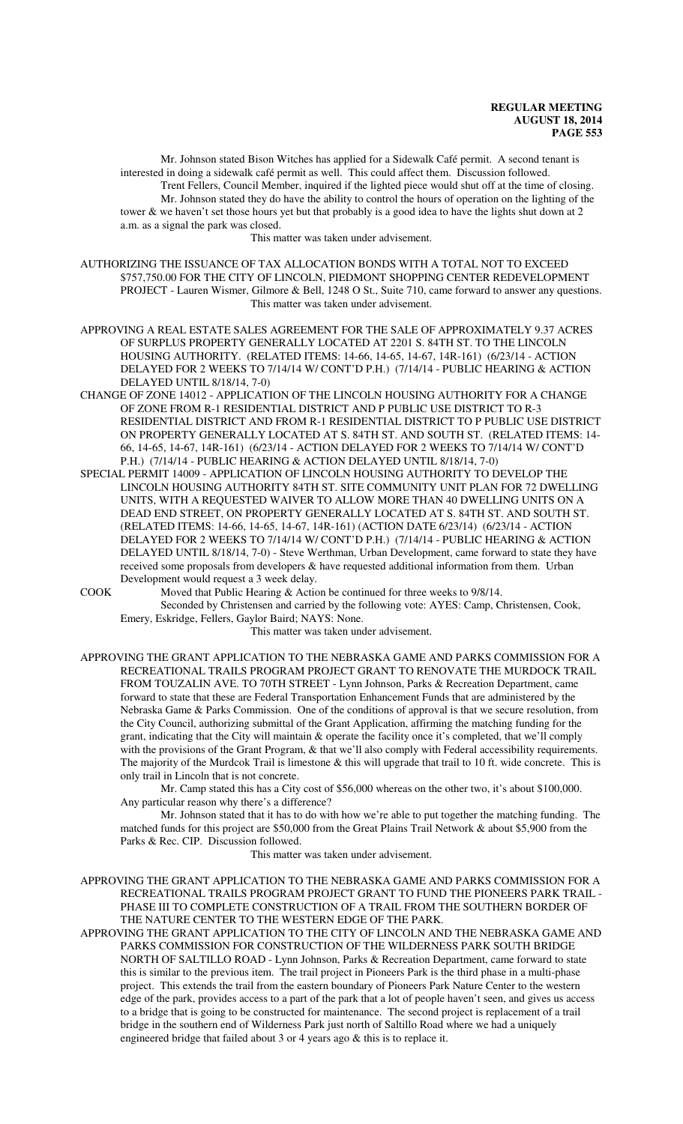Mr. Johnson stated Bison Witches has applied for a Sidewalk Café permit. A second tenant is interested in doing a sidewalk café permit as well. This could affect them. Discussion followed. Trent Fellers, Council Member, inquired if the lighted piece would shut off at the time of closing. Mr. Johnson stated they do have the ability to control the hours of operation on the lighting of the tower & we haven't set those hours yet but that probably is a good idea to have the lights shut down at 2 a.m. as a signal the park was closed.

This matter was taken under advisement.

AUTHORIZING THE ISSUANCE OF TAX ALLOCATION BONDS WITH A TOTAL NOT TO EXCEED \$757,750.00 FOR THE CITY OF LINCOLN, PIEDMONT SHOPPING CENTER REDEVELOPMENT PROJECT - Lauren Wismer, Gilmore & Bell, 1248 O St., Suite 710, came forward to answer any questions. This matter was taken under advisement.

APPROVING A REAL ESTATE SALES AGREEMENT FOR THE SALE OF APPROXIMATELY 9.37 ACRES OF SURPLUS PROPERTY GENERALLY LOCATED AT 2201 S. 84TH ST. TO THE LINCOLN HOUSING AUTHORITY. (RELATED ITEMS: 14-66, 14-65, 14-67, 14R-161) (6/23/14 - ACTION DELAYED FOR 2 WEEKS TO 7/14/14 W/ CONT'D P.H.) (7/14/14 - PUBLIC HEARING & ACTION DELAYED UNTIL 8/18/14, 7-0)

- CHANGE OF ZONE 14012 APPLICATION OF THE LINCOLN HOUSING AUTHORITY FOR A CHANGE OF ZONE FROM R-1 RESIDENTIAL DISTRICT AND P PUBLIC USE DISTRICT TO R-3 RESIDENTIAL DISTRICT AND FROM R-1 RESIDENTIAL DISTRICT TO P PUBLIC USE DISTRICT ON PROPERTY GENERALLY LOCATED AT S. 84TH ST. AND SOUTH ST. (RELATED ITEMS: 14- 66, 14-65, 14-67, 14R-161) (6/23/14 - ACTION DELAYED FOR 2 WEEKS TO 7/14/14 W/ CONT'D P.H.) (7/14/14 - PUBLIC HEARING & ACTION DELAYED UNTIL 8/18/14, 7-0)
- SPECIAL PERMIT 14009 APPLICATION OF LINCOLN HOUSING AUTHORITY TO DEVELOP THE LINCOLN HOUSING AUTHORITY 84TH ST. SITE COMMUNITY UNIT PLAN FOR 72 DWELLING UNITS, WITH A REQUESTED WAIVER TO ALLOW MORE THAN 40 DWELLING UNITS ON A DEAD END STREET, ON PROPERTY GENERALLY LOCATED AT S. 84TH ST. AND SOUTH ST. (RELATED ITEMS: 14-66, 14-65, 14-67, 14R-161) (ACTION DATE 6/23/14) (6/23/14 - ACTION DELAYED FOR 2 WEEKS TO 7/14/14 W/ CONT'D P.H.) (7/14/14 - PUBLIC HEARING & ACTION DELAYED UNTIL 8/18/14, 7-0) - Steve Werthman, Urban Development, came forward to state they have received some proposals from developers & have requested additional information from them. Urban Development would request a 3 week delay.

COOK Moved that Public Hearing & Action be continued for three weeks to 9/8/14. Seconded by Christensen and carried by the following vote: AYES: Camp, Christensen, Cook,

Emery, Eskridge, Fellers, Gaylor Baird; NAYS: None.

This matter was taken under advisement.

APPROVING THE GRANT APPLICATION TO THE NEBRASKA GAME AND PARKS COMMISSION FOR A RECREATIONAL TRAILS PROGRAM PROJECT GRANT TO RENOVATE THE MURDOCK TRAIL FROM TOUZALIN AVE. TO 70TH STREET - Lynn Johnson, Parks & Recreation Department, came forward to state that these are Federal Transportation Enhancement Funds that are administered by the Nebraska Game & Parks Commission. One of the conditions of approval is that we secure resolution, from the City Council, authorizing submittal of the Grant Application, affirming the matching funding for the grant, indicating that the City will maintain & operate the facility once it's completed, that we'll comply with the provisions of the Grant Program,  $\&$  that we'll also comply with Federal accessibility requirements. The majority of the Murdcok Trail is limestone & this will upgrade that trail to 10 ft. wide concrete. This is only trail in Lincoln that is not concrete.

Mr. Camp stated this has a City cost of \$56,000 whereas on the other two, it's about \$100,000. Any particular reason why there's a difference?

Mr. Johnson stated that it has to do with how we're able to put together the matching funding. The matched funds for this project are \$50,000 from the Great Plains Trail Network & about \$5,900 from the Parks & Rec. CIP. Discussion followed.

This matter was taken under advisement.

APPROVING THE GRANT APPLICATION TO THE NEBRASKA GAME AND PARKS COMMISSION FOR A RECREATIONAL TRAILS PROGRAM PROJECT GRANT TO FUND THE PIONEERS PARK TRAIL - PHASE III TO COMPLETE CONSTRUCTION OF A TRAIL FROM THE SOUTHERN BORDER OF THE NATURE CENTER TO THE WESTERN EDGE OF THE PARK.

APPROVING THE GRANT APPLICATION TO THE CITY OF LINCOLN AND THE NEBRASKA GAME AND PARKS COMMISSION FOR CONSTRUCTION OF THE WILDERNESS PARK SOUTH BRIDGE NORTH OF SALTILLO ROAD - Lynn Johnson, Parks & Recreation Department, came forward to state this is similar to the previous item. The trail project in Pioneers Park is the third phase in a multi-phase project. This extends the trail from the eastern boundary of Pioneers Park Nature Center to the western edge of the park, provides access to a part of the park that a lot of people haven't seen, and gives us access to a bridge that is going to be constructed for maintenance. The second project is replacement of a trail bridge in the southern end of Wilderness Park just north of Saltillo Road where we had a uniquely engineered bridge that failed about 3 or 4 years ago & this is to replace it.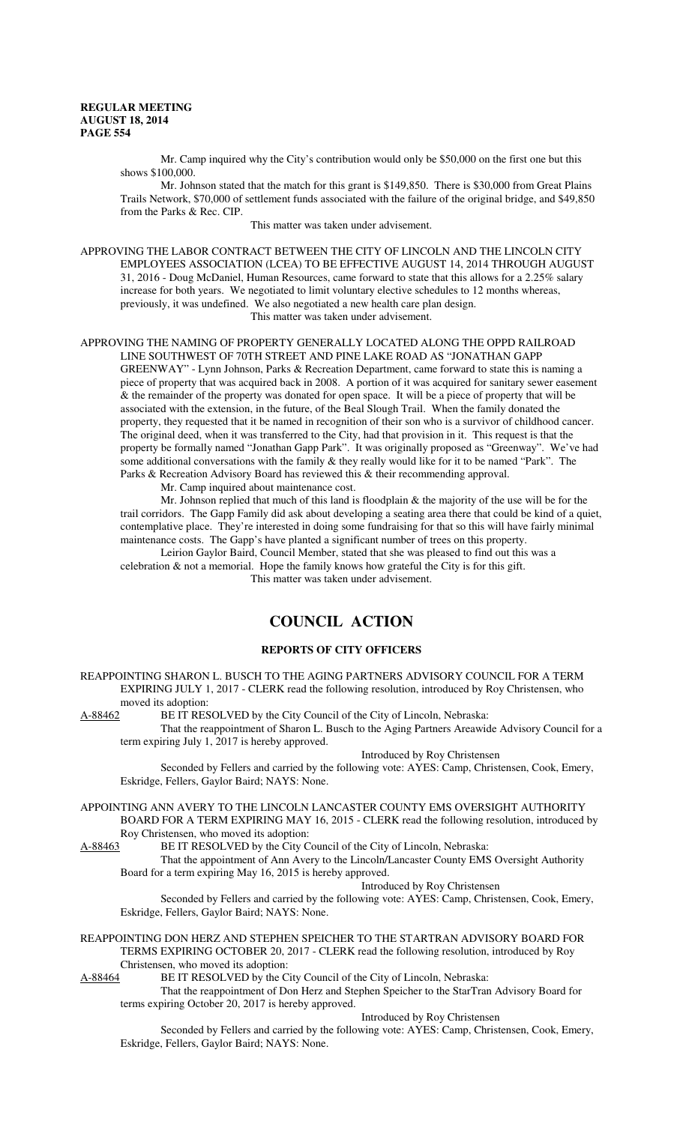Mr. Camp inquired why the City's contribution would only be \$50,000 on the first one but this shows \$100,000.

Mr. Johnson stated that the match for this grant is \$149,850. There is \$30,000 from Great Plains Trails Network, \$70,000 of settlement funds associated with the failure of the original bridge, and \$49,850 from the Parks & Rec. CIP.

This matter was taken under advisement.

APPROVING THE LABOR CONTRACT BETWEEN THE CITY OF LINCOLN AND THE LINCOLN CITY EMPLOYEES ASSOCIATION (LCEA) TO BE EFFECTIVE AUGUST 14, 2014 THROUGH AUGUST 31, 2016 - Doug McDaniel, Human Resources, came forward to state that this allows for a 2.25% salary increase for both years. We negotiated to limit voluntary elective schedules to 12 months whereas, previously, it was undefined. We also negotiated a new health care plan design. This matter was taken under advisement.

APPROVING THE NAMING OF PROPERTY GENERALLY LOCATED ALONG THE OPPD RAILROAD LINE SOUTHWEST OF 70TH STREET AND PINE LAKE ROAD AS "JONATHAN GAPP GREENWAY" - Lynn Johnson, Parks & Recreation Department, came forward to state this is naming a piece of property that was acquired back in 2008. A portion of it was acquired for sanitary sewer easement & the remainder of the property was donated for open space. It will be a piece of property that will be associated with the extension, in the future, of the Beal Slough Trail. When the family donated the property, they requested that it be named in recognition of their son who is a survivor of childhood cancer. The original deed, when it was transferred to the City, had that provision in it. This request is that the property be formally named "Jonathan Gapp Park". It was originally proposed as "Greenway". We've had some additional conversations with the family & they really would like for it to be named "Park". The Parks & Recreation Advisory Board has reviewed this & their recommending approval.

Mr. Camp inquired about maintenance cost.

Mr. Johnson replied that much of this land is floodplain & the majority of the use will be for the trail corridors. The Gapp Family did ask about developing a seating area there that could be kind of a quiet, contemplative place. They're interested in doing some fundraising for that so this will have fairly minimal maintenance costs. The Gapp's have planted a significant number of trees on this property.

Leirion Gaylor Baird, Council Member, stated that she was pleased to find out this was a celebration & not a memorial. Hope the family knows how grateful the City is for this gift.

This matter was taken under advisement.

# **COUNCIL ACTION**

## **REPORTS OF CITY OFFICERS**

REAPPOINTING SHARON L. BUSCH TO THE AGING PARTNERS ADVISORY COUNCIL FOR A TERM EXPIRING JULY 1, 2017 - CLERK read the following resolution, introduced by Roy Christensen, who moved its adoption:<br>A-88462 BE IT RES

BE IT RESOLVED by the City Council of the City of Lincoln, Nebraska:

That the reappointment of Sharon L. Busch to the Aging Partners Areawide Advisory Council for a term expiring July 1, 2017 is hereby approved.

Introduced by Roy Christensen

Seconded by Fellers and carried by the following vote: AYES: Camp, Christensen, Cook, Emery, Eskridge, Fellers, Gaylor Baird; NAYS: None.

APPOINTING ANN AVERY TO THE LINCOLN LANCASTER COUNTY EMS OVERSIGHT AUTHORITY BOARD FOR A TERM EXPIRING MAY 16, 2015 - CLERK read the following resolution, introduced by Roy Christensen, who moved its adoption:

A-88463 BE IT RESOLVED by the City Council of the City of Lincoln, Nebraska:

That the appointment of Ann Avery to the Lincoln/Lancaster County EMS Oversight Authority Board for a term expiring May 16, 2015 is hereby approved.

Introduced by Roy Christensen

Seconded by Fellers and carried by the following vote: AYES: Camp, Christensen, Cook, Emery, Eskridge, Fellers, Gaylor Baird; NAYS: None.

REAPPOINTING DON HERZ AND STEPHEN SPEICHER TO THE STARTRAN ADVISORY BOARD FOR TERMS EXPIRING OCTOBER 20, 2017 - CLERK read the following resolution, introduced by Roy Christensen, who moved its adoption:

A-88464 BE IT RESOLVED by the City Council of the City of Lincoln, Nebraska:

That the reappointment of Don Herz and Stephen Speicher to the StarTran Advisory Board for terms expiring October 20, 2017 is hereby approved.

Introduced by Roy Christensen

Seconded by Fellers and carried by the following vote: AYES: Camp, Christensen, Cook, Emery, Eskridge, Fellers, Gaylor Baird; NAYS: None.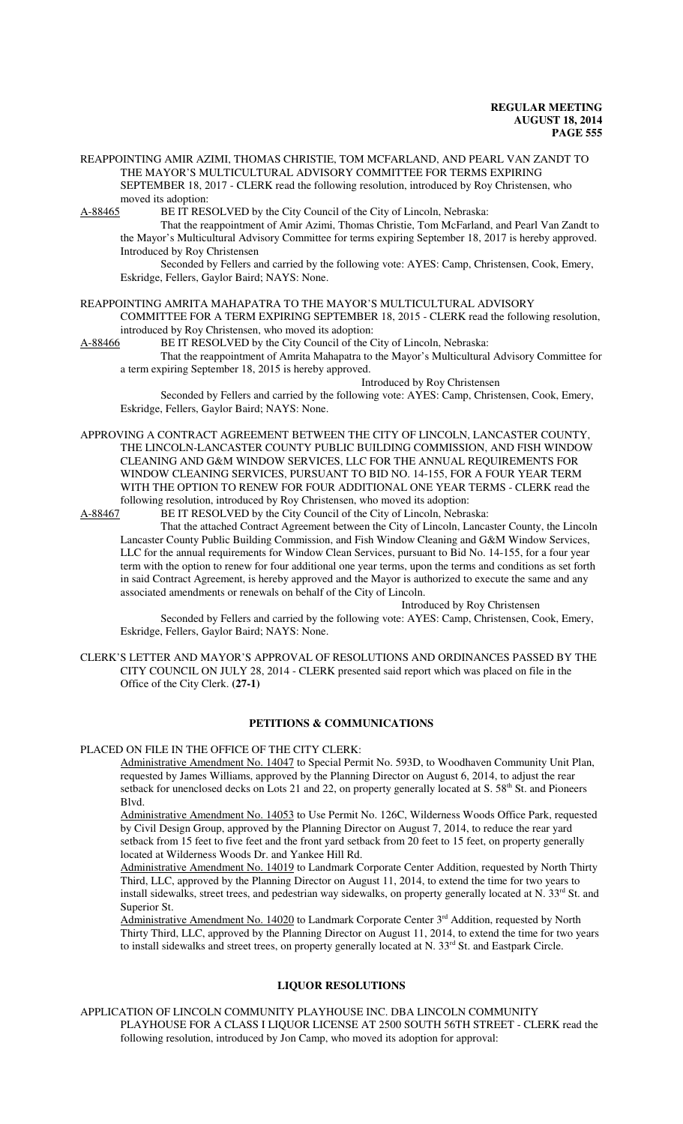REAPPOINTING AMIR AZIMI, THOMAS CHRISTIE, TOM MCFARLAND, AND PEARL VAN ZANDT TO THE MAYOR'S MULTICULTURAL ADVISORY COMMITTEE FOR TERMS EXPIRING SEPTEMBER 18, 2017 - CLERK read the following resolution, introduced by Roy Christensen, who moved its adoption:

A-88465 BE IT RESOLVED by the City Council of the City of Lincoln, Nebraska:

That the reappointment of Amir Azimi, Thomas Christie, Tom McFarland, and Pearl Van Zandt to the Mayor's Multicultural Advisory Committee for terms expiring September 18, 2017 is hereby approved. Introduced by Roy Christensen

Seconded by Fellers and carried by the following vote: AYES: Camp, Christensen, Cook, Emery, Eskridge, Fellers, Gaylor Baird; NAYS: None.

REAPPOINTING AMRITA MAHAPATRA TO THE MAYOR'S MULTICULTURAL ADVISORY COMMITTEE FOR A TERM EXPIRING SEPTEMBER 18, 2015 - CLERK read the following resolution, introduced by Roy Christensen, who moved its adoption:

A-88466 BE IT RESOLVED by the City Council of the City of Lincoln, Nebraska:

That the reappointment of Amrita Mahapatra to the Mayor's Multicultural Advisory Committee for a term expiring September 18, 2015 is hereby approved.

Introduced by Roy Christensen

Seconded by Fellers and carried by the following vote: AYES: Camp, Christensen, Cook, Emery, Eskridge, Fellers, Gaylor Baird; NAYS: None.

APPROVING A CONTRACT AGREEMENT BETWEEN THE CITY OF LINCOLN, LANCASTER COUNTY, THE LINCOLN-LANCASTER COUNTY PUBLIC BUILDING COMMISSION, AND FISH WINDOW CLEANING AND G&M WINDOW SERVICES, LLC FOR THE ANNUAL REQUIREMENTS FOR WINDOW CLEANING SERVICES, PURSUANT TO BID NO. 14-155, FOR A FOUR YEAR TERM WITH THE OPTION TO RENEW FOR FOUR ADDITIONAL ONE YEAR TERMS - CLERK read the following resolution, introduced by Roy Christensen, who moved its adoption:

A-88467 BE IT RESOLVED by the City Council of the City of Lincoln, Nebraska:

That the attached Contract Agreement between the City of Lincoln, Lancaster County, the Lincoln Lancaster County Public Building Commission, and Fish Window Cleaning and G&M Window Services, LLC for the annual requirements for Window Clean Services, pursuant to Bid No. 14-155, for a four year term with the option to renew for four additional one year terms, upon the terms and conditions as set forth in said Contract Agreement, is hereby approved and the Mayor is authorized to execute the same and any associated amendments or renewals on behalf of the City of Lincoln.

Introduced by Roy Christensen

Seconded by Fellers and carried by the following vote: AYES: Camp, Christensen, Cook, Emery, Eskridge, Fellers, Gaylor Baird; NAYS: None.

CLERK'S LETTER AND MAYOR'S APPROVAL OF RESOLUTIONS AND ORDINANCES PASSED BY THE CITY COUNCIL ON JULY 28, 2014 - CLERK presented said report which was placed on file in the Office of the City Clerk. **(27-1)**

### **PETITIONS & COMMUNICATIONS**

### PLACED ON FILE IN THE OFFICE OF THE CITY CLERK:

Administrative Amendment No. 14047 to Special Permit No. 593D, to Woodhaven Community Unit Plan, requested by James Williams, approved by the Planning Director on August 6, 2014, to adjust the rear setback for unenclosed decks on Lots 21 and 22, on property generally located at S.  $58<sup>th</sup>$  St. and Pioneers Blvd.

Administrative Amendment No. 14053 to Use Permit No. 126C, Wilderness Woods Office Park, requested by Civil Design Group, approved by the Planning Director on August 7, 2014, to reduce the rear yard setback from 15 feet to five feet and the front yard setback from 20 feet to 15 feet, on property generally located at Wilderness Woods Dr. and Yankee Hill Rd.

Administrative Amendment No. 14019 to Landmark Corporate Center Addition, requested by North Thirty Third, LLC, approved by the Planning Director on August 11, 2014, to extend the time for two years to install sidewalks, street trees, and pedestrian way sidewalks, on property generally located at N. 33rd St. and Superior St.

Administrative Amendment No. 14020 to Landmark Corporate Center 3<sup>rd</sup> Addition, requested by North Thirty Third, LLC, approved by the Planning Director on August 11, 2014, to extend the time for two years to install sidewalks and street trees, on property generally located at N. 33<sup>rd</sup> St. and Eastpark Circle.

#### **LIQUOR RESOLUTIONS**

APPLICATION OF LINCOLN COMMUNITY PLAYHOUSE INC. DBA LINCOLN COMMUNITY PLAYHOUSE FOR A CLASS I LIQUOR LICENSE AT 2500 SOUTH 56TH STREET - CLERK read the following resolution, introduced by Jon Camp, who moved its adoption for approval: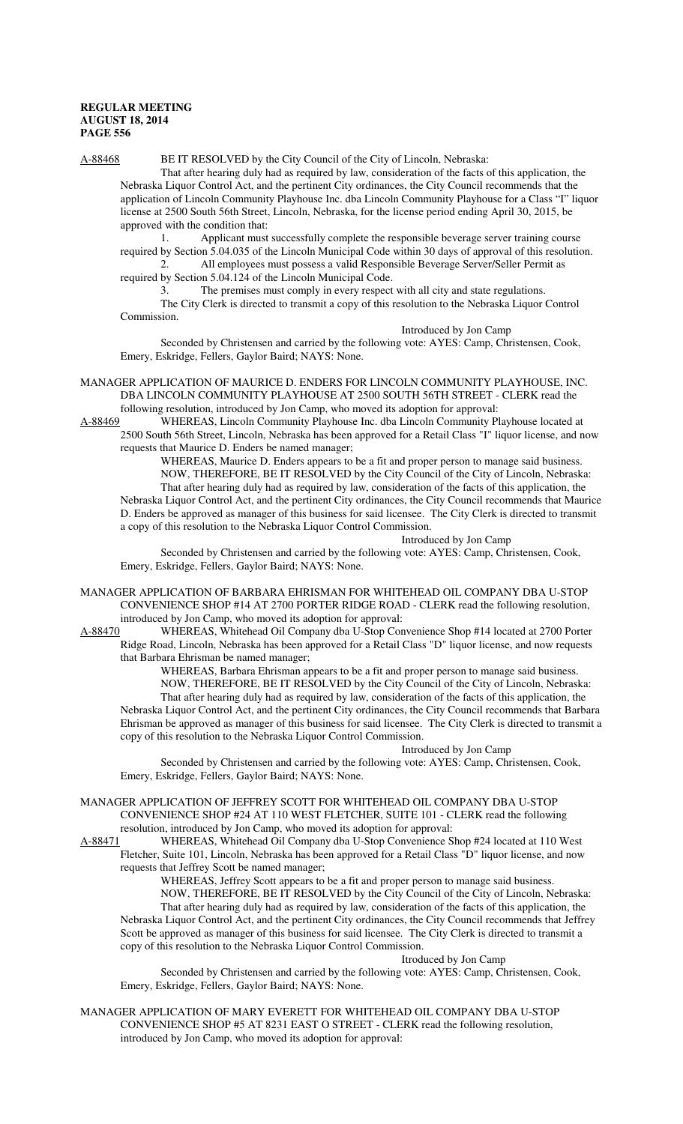### A-88468 BE IT RESOLVED by the City Council of the City of Lincoln, Nebraska:

That after hearing duly had as required by law, consideration of the facts of this application, the Nebraska Liquor Control Act, and the pertinent City ordinances, the City Council recommends that the application of Lincoln Community Playhouse Inc. dba Lincoln Community Playhouse for a Class "I" liquor license at 2500 South 56th Street, Lincoln, Nebraska, for the license period ending April 30, 2015, be approved with the condition that:

1. Applicant must successfully complete the responsible beverage server training course required by Section 5.04.035 of the Lincoln Municipal Code within 30 days of approval of this resolution. 2. All employees must possess a valid Responsible Beverage Server/Seller Permit as

required by Section 5.04.124 of the Lincoln Municipal Code.

3. The premises must comply in every respect with all city and state regulations. The City Clerk is directed to transmit a copy of this resolution to the Nebraska Liquor Control Commission.

Introduced by Jon Camp

Seconded by Christensen and carried by the following vote: AYES: Camp, Christensen, Cook, Emery, Eskridge, Fellers, Gaylor Baird; NAYS: None.

MANAGER APPLICATION OF MAURICE D. ENDERS FOR LINCOLN COMMUNITY PLAYHOUSE, INC. DBA LINCOLN COMMUNITY PLAYHOUSE AT 2500 SOUTH 56TH STREET - CLERK read the following resolution, introduced by Jon Camp, who moved its adoption for approval:

A-88469 WHEREAS, Lincoln Community Playhouse Inc. dba Lincoln Community Playhouse located at 2500 South 56th Street, Lincoln, Nebraska has been approved for a Retail Class "I" liquor license, and now requests that Maurice D. Enders be named manager;

WHEREAS, Maurice D. Enders appears to be a fit and proper person to manage said business. NOW, THEREFORE, BE IT RESOLVED by the City Council of the City of Lincoln, Nebraska: That after hearing duly had as required by law, consideration of the facts of this application, the Nebraska Liquor Control Act, and the pertinent City ordinances, the City Council recommends that Maurice D. Enders be approved as manager of this business for said licensee. The City Clerk is directed to transmit a copy of this resolution to the Nebraska Liquor Control Commission.

#### Introduced by Jon Camp

Seconded by Christensen and carried by the following vote: AYES: Camp, Christensen, Cook, Emery, Eskridge, Fellers, Gaylor Baird; NAYS: None.

- MANAGER APPLICATION OF BARBARA EHRISMAN FOR WHITEHEAD OIL COMPANY DBA U-STOP CONVENIENCE SHOP #14 AT 2700 PORTER RIDGE ROAD - CLERK read the following resolution, introduced by Jon Camp, who moved its adoption for approval:
- A-88470 WHEREAS, Whitehead Oil Company dba U-Stop Convenience Shop #14 located at 2700 Porter Ridge Road, Lincoln, Nebraska has been approved for a Retail Class "D" liquor license, and now requests that Barbara Ehrisman be named manager;

WHEREAS, Barbara Ehrisman appears to be a fit and proper person to manage said business. NOW, THEREFORE, BE IT RESOLVED by the City Council of the City of Lincoln, Nebraska: That after hearing duly had as required by law, consideration of the facts of this application, the Nebraska Liquor Control Act, and the pertinent City ordinances, the City Council recommends that Barbara Ehrisman be approved as manager of this business for said licensee. The City Clerk is directed to transmit a copy of this resolution to the Nebraska Liquor Control Commission.

#### Introduced by Jon Camp

Seconded by Christensen and carried by the following vote: AYES: Camp, Christensen, Cook, Emery, Eskridge, Fellers, Gaylor Baird; NAYS: None.

MANAGER APPLICATION OF JEFFREY SCOTT FOR WHITEHEAD OIL COMPANY DBA U-STOP CONVENIENCE SHOP #24 AT 110 WEST FLETCHER, SUITE 101 - CLERK read the following resolution, introduced by Jon Camp, who moved its adoption for approval:<br>A-88471 WHEREAS, Whitehead Oil Company dba U-Stop Convenience S

WHEREAS, Whitehead Oil Company dba U-Stop Convenience Shop #24 located at 110 West Fletcher, Suite 101, Lincoln, Nebraska has been approved for a Retail Class "D" liquor license, and now requests that Jeffrey Scott be named manager;

WHEREAS, Jeffrey Scott appears to be a fit and proper person to manage said business.

NOW, THEREFORE, BE IT RESOLVED by the City Council of the City of Lincoln, Nebraska: That after hearing duly had as required by law, consideration of the facts of this application, the Nebraska Liquor Control Act, and the pertinent City ordinances, the City Council recommends that Jeffrey Scott be approved as manager of this business for said licensee. The City Clerk is directed to transmit a copy of this resolution to the Nebraska Liquor Control Commission.

#### Itroduced by Jon Camp

Seconded by Christensen and carried by the following vote: AYES: Camp, Christensen, Cook, Emery, Eskridge, Fellers, Gaylor Baird; NAYS: None.

MANAGER APPLICATION OF MARY EVERETT FOR WHITEHEAD OIL COMPANY DBA U-STOP CONVENIENCE SHOP #5 AT 8231 EAST O STREET - CLERK read the following resolution, introduced by Jon Camp, who moved its adoption for approval: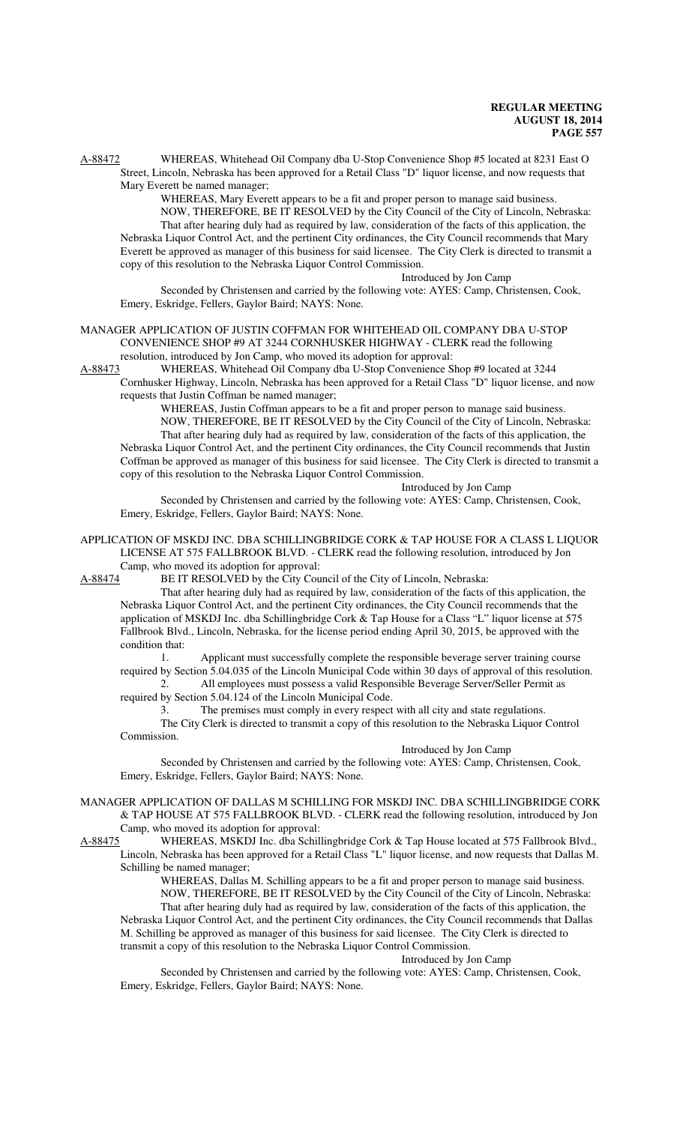A-88472 WHEREAS, Whitehead Oil Company dba U-Stop Convenience Shop #5 located at 8231 East O Street, Lincoln, Nebraska has been approved for a Retail Class "D" liquor license, and now requests that Mary Everett be named manager;

WHEREAS, Mary Everett appears to be a fit and proper person to manage said business. NOW, THEREFORE, BE IT RESOLVED by the City Council of the City of Lincoln, Nebraska: That after hearing duly had as required by law, consideration of the facts of this application, the Nebraska Liquor Control Act, and the pertinent City ordinances, the City Council recommends that Mary Everett be approved as manager of this business for said licensee. The City Clerk is directed to transmit a copy of this resolution to the Nebraska Liquor Control Commission.

Introduced by Jon Camp Seconded by Christensen and carried by the following vote: AYES: Camp, Christensen, Cook, Emery, Eskridge, Fellers, Gaylor Baird; NAYS: None.

MANAGER APPLICATION OF JUSTIN COFFMAN FOR WHITEHEAD OIL COMPANY DBA U-STOP CONVENIENCE SHOP #9 AT 3244 CORNHUSKER HIGHWAY - CLERK read the following resolution, introduced by Jon Camp, who moved its adoption for approval:

A-88473 WHEREAS, Whitehead Oil Company dba U-Stop Convenience Shop #9 located at 3244 Cornhusker Highway, Lincoln, Nebraska has been approved for a Retail Class "D" liquor license, and now requests that Justin Coffman be named manager;

WHEREAS, Justin Coffman appears to be a fit and proper person to manage said business.

NOW, THEREFORE, BE IT RESOLVED by the City Council of the City of Lincoln, Nebraska: That after hearing duly had as required by law, consideration of the facts of this application, the Nebraska Liquor Control Act, and the pertinent City ordinances, the City Council recommends that Justin Coffman be approved as manager of this business for said licensee. The City Clerk is directed to transmit a copy of this resolution to the Nebraska Liquor Control Commission.

Introduced by Jon Camp

Seconded by Christensen and carried by the following vote: AYES: Camp, Christensen, Cook, Emery, Eskridge, Fellers, Gaylor Baird; NAYS: None.

APPLICATION OF MSKDJ INC. DBA SCHILLINGBRIDGE CORK & TAP HOUSE FOR A CLASS L LIQUOR LICENSE AT 575 FALLBROOK BLVD. - CLERK read the following resolution, introduced by Jon Camp, who moved its adoption for approval:

A-88474 BE IT RESOLVED by the City Council of the City of Lincoln, Nebraska:

That after hearing duly had as required by law, consideration of the facts of this application, the Nebraska Liquor Control Act, and the pertinent City ordinances, the City Council recommends that the application of MSKDJ Inc. dba Schillingbridge Cork & Tap House for a Class "L" liquor license at 575 Fallbrook Blvd., Lincoln, Nebraska, for the license period ending April 30, 2015, be approved with the condition that:

1. Applicant must successfully complete the responsible beverage server training course required by Section 5.04.035 of the Lincoln Municipal Code within 30 days of approval of this resolution.

2. All employees must possess a valid Responsible Beverage Server/Seller Permit as required by Section 5.04.124 of the Lincoln Municipal Code.

3. The premises must comply in every respect with all city and state regulations. The City Clerk is directed to transmit a copy of this resolution to the Nebraska Liquor Control Commission.

#### Introduced by Jon Camp

Seconded by Christensen and carried by the following vote: AYES: Camp, Christensen, Cook, Emery, Eskridge, Fellers, Gaylor Baird; NAYS: None.

MANAGER APPLICATION OF DALLAS M SCHILLING FOR MSKDJ INC. DBA SCHILLINGBRIDGE CORK & TAP HOUSE AT 575 FALLBROOK BLVD. - CLERK read the following resolution, introduced by Jon Camp, who moved its adoption for approval:<br>A-88475 WHEREAS, MSKDJ Inc. dba Schil

WHEREAS, MSKDJ Inc. dba Schillingbridge Cork & Tap House located at 575 Fallbrook Blvd., Lincoln, Nebraska has been approved for a Retail Class "L" liquor license, and now requests that Dallas M. Schilling be named manager;

WHEREAS, Dallas M. Schilling appears to be a fit and proper person to manage said business. NOW, THEREFORE, BE IT RESOLVED by the City Council of the City of Lincoln, Nebraska: That after hearing duly had as required by law, consideration of the facts of this application, the Nebraska Liquor Control Act, and the pertinent City ordinances, the City Council recommends that Dallas M. Schilling be approved as manager of this business for said licensee. The City Clerk is directed to transmit a copy of this resolution to the Nebraska Liquor Control Commission.

#### Introduced by Jon Camp

Seconded by Christensen and carried by the following vote: AYES: Camp, Christensen, Cook, Emery, Eskridge, Fellers, Gaylor Baird; NAYS: None.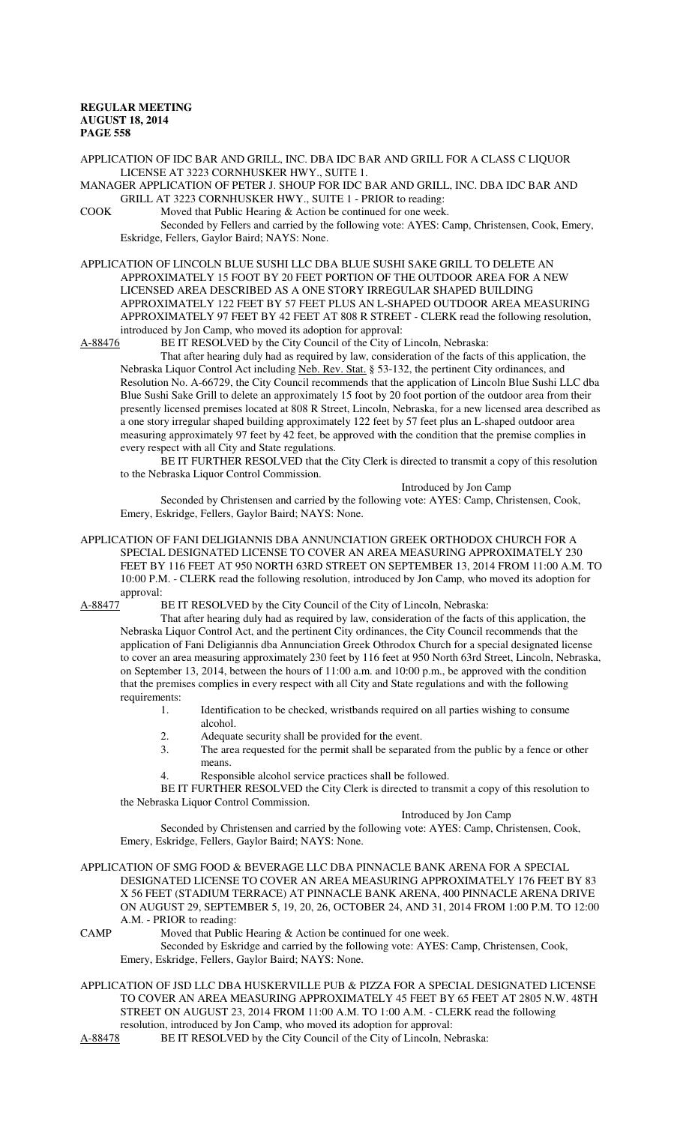APPLICATION OF IDC BAR AND GRILL, INC. DBA IDC BAR AND GRILL FOR A CLASS C LIQUOR LICENSE AT 3223 CORNHUSKER HWY., SUITE 1.

MANAGER APPLICATION OF PETER J. SHOUP FOR IDC BAR AND GRILL, INC. DBA IDC BAR AND GRILL AT 3223 CORNHUSKER HWY., SUITE 1 - PRIOR to reading:

COOK Moved that Public Hearing & Action be continued for one week.

Seconded by Fellers and carried by the following vote: AYES: Camp, Christensen, Cook, Emery, Eskridge, Fellers, Gaylor Baird; NAYS: None.

APPLICATION OF LINCOLN BLUE SUSHI LLC DBA BLUE SUSHI SAKE GRILL TO DELETE AN APPROXIMATELY 15 FOOT BY 20 FEET PORTION OF THE OUTDOOR AREA FOR A NEW LICENSED AREA DESCRIBED AS A ONE STORY IRREGULAR SHAPED BUILDING APPROXIMATELY 122 FEET BY 57 FEET PLUS AN L-SHAPED OUTDOOR AREA MEASURING APPROXIMATELY 97 FEET BY 42 FEET AT 808 R STREET - CLERK read the following resolution, introduced by Jon Camp, who moved its adoption for approval:

A-88476 BE IT RESOLVED by the City Council of the City of Lincoln, Nebraska:

That after hearing duly had as required by law, consideration of the facts of this application, the Nebraska Liquor Control Act including Neb. Rev. Stat. § 53-132, the pertinent City ordinances, and Resolution No. A-66729, the City Council recommends that the application of Lincoln Blue Sushi LLC dba Blue Sushi Sake Grill to delete an approximately 15 foot by 20 foot portion of the outdoor area from their presently licensed premises located at 808 R Street, Lincoln, Nebraska, for a new licensed area described as a one story irregular shaped building approximately 122 feet by 57 feet plus an L-shaped outdoor area measuring approximately 97 feet by 42 feet, be approved with the condition that the premise complies in every respect with all City and State regulations.

BE IT FURTHER RESOLVED that the City Clerk is directed to transmit a copy of this resolution to the Nebraska Liquor Control Commission.

Introduced by Jon Camp

Seconded by Christensen and carried by the following vote: AYES: Camp, Christensen, Cook, Emery, Eskridge, Fellers, Gaylor Baird; NAYS: None.

APPLICATION OF FANI DELIGIANNIS DBA ANNUNCIATION GREEK ORTHODOX CHURCH FOR A SPECIAL DESIGNATED LICENSE TO COVER AN AREA MEASURING APPROXIMATELY 230 FEET BY 116 FEET AT 950 NORTH 63RD STREET ON SEPTEMBER 13, 2014 FROM 11:00 A.M. TO 10:00 P.M. - CLERK read the following resolution, introduced by Jon Camp, who moved its adoption for approval:

A-88477 BE IT RESOLVED by the City Council of the City of Lincoln, Nebraska:

That after hearing duly had as required by law, consideration of the facts of this application, the Nebraska Liquor Control Act, and the pertinent City ordinances, the City Council recommends that the application of Fani Deligiannis dba Annunciation Greek Othrodox Church for a special designated license to cover an area measuring approximately 230 feet by 116 feet at 950 North 63rd Street, Lincoln, Nebraska, on September 13, 2014, between the hours of 11:00 a.m. and 10:00 p.m., be approved with the condition that the premises complies in every respect with all City and State regulations and with the following requirements:

- 1. Identification to be checked, wristbands required on all parties wishing to consume alcohol.
- 2. Adequate security shall be provided for the event.<br>3. The area requested for the permit shall be separate
- The area requested for the permit shall be separated from the public by a fence or other means.
- Responsible alcohol service practices shall be followed.

BE IT FURTHER RESOLVED the City Clerk is directed to transmit a copy of this resolution to the Nebraska Liquor Control Commission.

### Introduced by Jon Camp

Seconded by Christensen and carried by the following vote: AYES: Camp, Christensen, Cook, Emery, Eskridge, Fellers, Gaylor Baird; NAYS: None.

APPLICATION OF SMG FOOD & BEVERAGE LLC DBA PINNACLE BANK ARENA FOR A SPECIAL DESIGNATED LICENSE TO COVER AN AREA MEASURING APPROXIMATELY 176 FEET BY 83 X 56 FEET (STADIUM TERRACE) AT PINNACLE BANK ARENA, 400 PINNACLE ARENA DRIVE ON AUGUST 29, SEPTEMBER 5, 19, 20, 26, OCTOBER 24, AND 31, 2014 FROM 1:00 P.M. TO 12:00 A.M. - PRIOR to reading:

CAMP Moved that Public Hearing & Action be continued for one week.

Seconded by Eskridge and carried by the following vote: AYES: Camp, Christensen, Cook, Emery, Eskridge, Fellers, Gaylor Baird; NAYS: None.

APPLICATION OF JSD LLC DBA HUSKERVILLE PUB & PIZZA FOR A SPECIAL DESIGNATED LICENSE TO COVER AN AREA MEASURING APPROXIMATELY 45 FEET BY 65 FEET AT 2805 N.W. 48TH STREET ON AUGUST 23, 2014 FROM 11:00 A.M. TO 1:00 A.M. - CLERK read the following resolution, introduced by Jon Camp, who moved its adoption for approval:

A-88478 BE IT RESOLVED by the City Council of the City of Lincoln, Nebraska: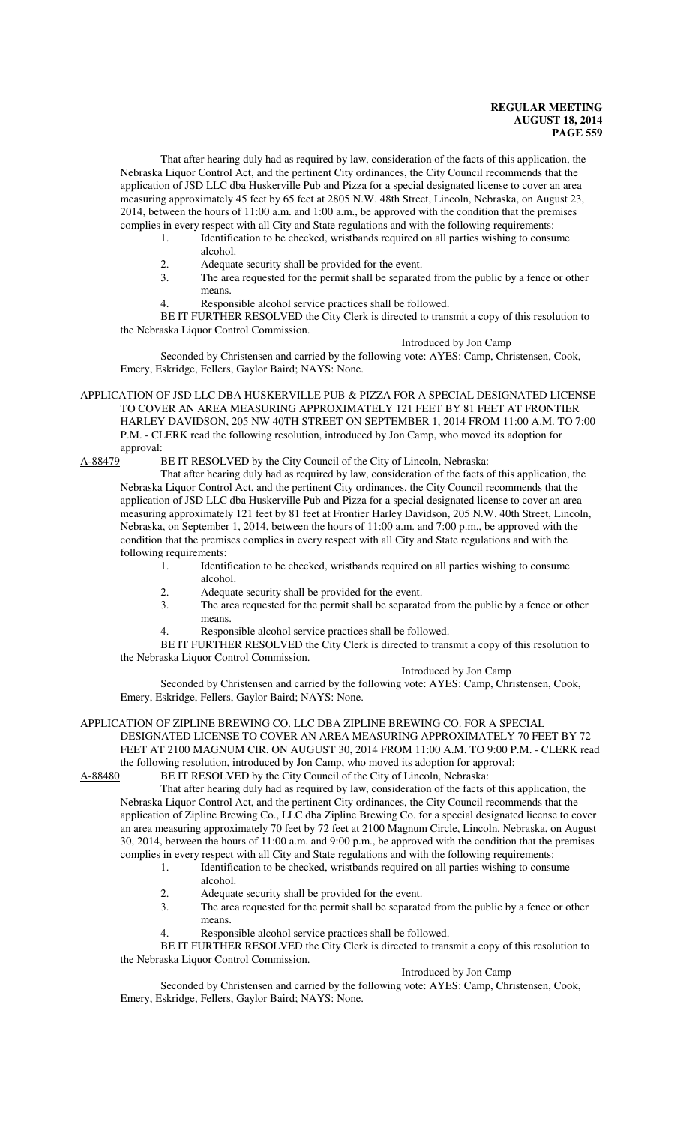That after hearing duly had as required by law, consideration of the facts of this application, the Nebraska Liquor Control Act, and the pertinent City ordinances, the City Council recommends that the application of JSD LLC dba Huskerville Pub and Pizza for a special designated license to cover an area measuring approximately 45 feet by 65 feet at 2805 N.W. 48th Street, Lincoln, Nebraska, on August 23, 2014, between the hours of 11:00 a.m. and 1:00 a.m., be approved with the condition that the premises complies in every respect with all City and State regulations and with the following requirements:

- 1. Identification to be checked, wristbands required on all parties wishing to consume alcohol.
- 2. Adequate security shall be provided for the event.<br>3. The area requested for the permit shall be separate
- The area requested for the permit shall be separated from the public by a fence or other means.
- 4. Responsible alcohol service practices shall be followed.

BE IT FURTHER RESOLVED the City Clerk is directed to transmit a copy of this resolution to the Nebraska Liquor Control Commission.

#### Introduced by Jon Camp

Seconded by Christensen and carried by the following vote: AYES: Camp, Christensen, Cook, Emery, Eskridge, Fellers, Gaylor Baird; NAYS: None.

APPLICATION OF JSD LLC DBA HUSKERVILLE PUB & PIZZA FOR A SPECIAL DESIGNATED LICENSE TO COVER AN AREA MEASURING APPROXIMATELY 121 FEET BY 81 FEET AT FRONTIER HARLEY DAVIDSON, 205 NW 40TH STREET ON SEPTEMBER 1, 2014 FROM 11:00 A.M. TO 7:00 P.M. - CLERK read the following resolution, introduced by Jon Camp, who moved its adoption for approval:<br>A-88479 I

BE IT RESOLVED by the City Council of the City of Lincoln, Nebraska:

That after hearing duly had as required by law, consideration of the facts of this application, the Nebraska Liquor Control Act, and the pertinent City ordinances, the City Council recommends that the application of JSD LLC dba Huskerville Pub and Pizza for a special designated license to cover an area measuring approximately 121 feet by 81 feet at Frontier Harley Davidson, 205 N.W. 40th Street, Lincoln, Nebraska, on September 1, 2014, between the hours of 11:00 a.m. and 7:00 p.m., be approved with the condition that the premises complies in every respect with all City and State regulations and with the following requirements:

- 1. Identification to be checked, wristbands required on all parties wishing to consume alcohol.
- 2. Adequate security shall be provided for the event.<br>3 The area requested for the permit shall be separate
- The area requested for the permit shall be separated from the public by a fence or other means.
- 4. Responsible alcohol service practices shall be followed.

BE IT FURTHER RESOLVED the City Clerk is directed to transmit a copy of this resolution to the Nebraska Liquor Control Commission.

Introduced by Jon Camp

Seconded by Christensen and carried by the following vote: AYES: Camp, Christensen, Cook, Emery, Eskridge, Fellers, Gaylor Baird; NAYS: None.

APPLICATION OF ZIPLINE BREWING CO. LLC DBA ZIPLINE BREWING CO. FOR A SPECIAL DESIGNATED LICENSE TO COVER AN AREA MEASURING APPROXIMATELY 70 FEET BY 72 FEET AT 2100 MAGNUM CIR. ON AUGUST 30, 2014 FROM 11:00 A.M. TO 9:00 P.M. - CLERK read

the following resolution, introduced by Jon Camp, who moved its adoption for approval:<br>A-88480 BE IT RESOLVED by the City Council of the City of Lincoln, Nebraska: BE IT RESOLVED by the City Council of the City of Lincoln, Nebraska:

That after hearing duly had as required by law, consideration of the facts of this application, the Nebraska Liquor Control Act, and the pertinent City ordinances, the City Council recommends that the application of Zipline Brewing Co., LLC dba Zipline Brewing Co. for a special designated license to cover an area measuring approximately 70 feet by 72 feet at 2100 Magnum Circle, Lincoln, Nebraska, on August 30, 2014, between the hours of 11:00 a.m. and 9:00 p.m., be approved with the condition that the premises complies in every respect with all City and State regulations and with the following requirements:

- 1. Identification to be checked, wristbands required on all parties wishing to consume alcohol.
- 2. Adequate security shall be provided for the event.<br>3. The area requested for the permit shall be separate
- The area requested for the permit shall be separated from the public by a fence or other means.
- 4. Responsible alcohol service practices shall be followed.

BE IT FURTHER RESOLVED the City Clerk is directed to transmit a copy of this resolution to the Nebraska Liquor Control Commission.

## Introduced by Jon Camp

Seconded by Christensen and carried by the following vote: AYES: Camp, Christensen, Cook, Emery, Eskridge, Fellers, Gaylor Baird; NAYS: None.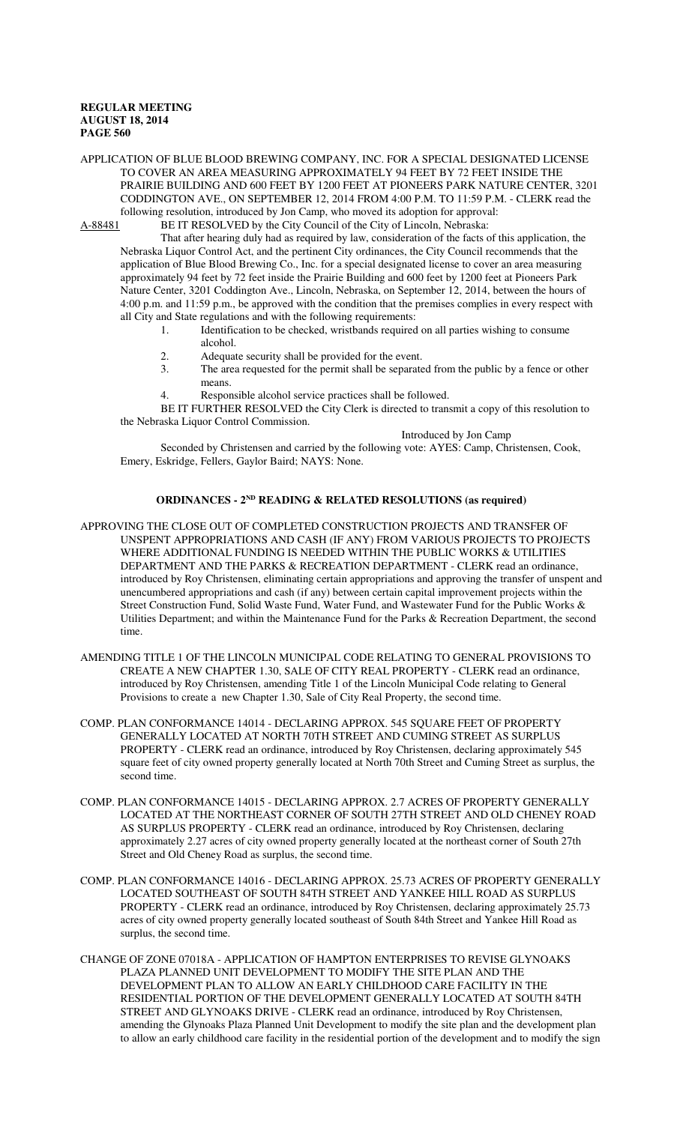APPLICATION OF BLUE BLOOD BREWING COMPANY, INC. FOR A SPECIAL DESIGNATED LICENSE TO COVER AN AREA MEASURING APPROXIMATELY 94 FEET BY 72 FEET INSIDE THE PRAIRIE BUILDING AND 600 FEET BY 1200 FEET AT PIONEERS PARK NATURE CENTER, 3201 CODDINGTON AVE., ON SEPTEMBER 12, 2014 FROM 4:00 P.M. TO 11:59 P.M. - CLERK read the following resolution, introduced by Jon Camp, who moved its adoption for approval:

A-88481 BE IT RESOLVED by the City Council of the City of Lincoln, Nebraska: That after hearing duly had as required by law, consideration of the facts of this application, the Nebraska Liquor Control Act, and the pertinent City ordinances, the City Council recommends that the application of Blue Blood Brewing Co., Inc. for a special designated license to cover an area measuring approximately 94 feet by 72 feet inside the Prairie Building and 600 feet by 1200 feet at Pioneers Park Nature Center, 3201 Coddington Ave., Lincoln, Nebraska, on September 12, 2014, between the hours of 4:00 p.m. and 11:59 p.m., be approved with the condition that the premises complies in every respect with all City and State regulations and with the following requirements:

- 1. Identification to be checked, wristbands required on all parties wishing to consume alcohol.
- 2. Adequate security shall be provided for the event.<br>3 The area requested for the permit shall be separate
- The area requested for the permit shall be separated from the public by a fence or other means.
- 4. Responsible alcohol service practices shall be followed.

BE IT FURTHER RESOLVED the City Clerk is directed to transmit a copy of this resolution to the Nebraska Liquor Control Commission. Introduced by Jon Camp

Seconded by Christensen and carried by the following vote: AYES: Camp, Christensen, Cook, Emery, Eskridge, Fellers, Gaylor Baird; NAYS: None.

## **ORDINANCES - 2ND READING & RELATED RESOLUTIONS (as required)**

- APPROVING THE CLOSE OUT OF COMPLETED CONSTRUCTION PROJECTS AND TRANSFER OF UNSPENT APPROPRIATIONS AND CASH (IF ANY) FROM VARIOUS PROJECTS TO PROJECTS WHERE ADDITIONAL FUNDING IS NEEDED WITHIN THE PUBLIC WORKS & UTILITIES DEPARTMENT AND THE PARKS & RECREATION DEPARTMENT - CLERK read an ordinance, introduced by Roy Christensen, eliminating certain appropriations and approving the transfer of unspent and unencumbered appropriations and cash (if any) between certain capital improvement projects within the Street Construction Fund, Solid Waste Fund, Water Fund, and Wastewater Fund for the Public Works & Utilities Department; and within the Maintenance Fund for the Parks & Recreation Department, the second time.
- AMENDING TITLE 1 OF THE LINCOLN MUNICIPAL CODE RELATING TO GENERAL PROVISIONS TO CREATE A NEW CHAPTER 1.30, SALE OF CITY REAL PROPERTY - CLERK read an ordinance, introduced by Roy Christensen, amending Title 1 of the Lincoln Municipal Code relating to General Provisions to create a new Chapter 1.30, Sale of City Real Property, the second time.
- COMP. PLAN CONFORMANCE 14014 DECLARING APPROX. 545 SQUARE FEET OF PROPERTY GENERALLY LOCATED AT NORTH 70TH STREET AND CUMING STREET AS SURPLUS PROPERTY - CLERK read an ordinance, introduced by Roy Christensen, declaring approximately 545 square feet of city owned property generally located at North 70th Street and Cuming Street as surplus, the second time.
- COMP. PLAN CONFORMANCE 14015 DECLARING APPROX. 2.7 ACRES OF PROPERTY GENERALLY LOCATED AT THE NORTHEAST CORNER OF SOUTH 27TH STREET AND OLD CHENEY ROAD AS SURPLUS PROPERTY - CLERK read an ordinance, introduced by Roy Christensen, declaring approximately 2.27 acres of city owned property generally located at the northeast corner of South 27th Street and Old Cheney Road as surplus, the second time.
- COMP. PLAN CONFORMANCE 14016 DECLARING APPROX. 25.73 ACRES OF PROPERTY GENERALLY LOCATED SOUTHEAST OF SOUTH 84TH STREET AND YANKEE HILL ROAD AS SURPLUS PROPERTY - CLERK read an ordinance, introduced by Roy Christensen, declaring approximately 25.73 acres of city owned property generally located southeast of South 84th Street and Yankee Hill Road as surplus, the second time.
- CHANGE OF ZONE 07018A APPLICATION OF HAMPTON ENTERPRISES TO REVISE GLYNOAKS PLAZA PLANNED UNIT DEVELOPMENT TO MODIFY THE SITE PLAN AND THE DEVELOPMENT PLAN TO ALLOW AN EARLY CHILDHOOD CARE FACILITY IN THE RESIDENTIAL PORTION OF THE DEVELOPMENT GENERALLY LOCATED AT SOUTH 84TH STREET AND GLYNOAKS DRIVE - CLERK read an ordinance, introduced by Roy Christensen, amending the Glynoaks Plaza Planned Unit Development to modify the site plan and the development plan to allow an early childhood care facility in the residential portion of the development and to modify the sign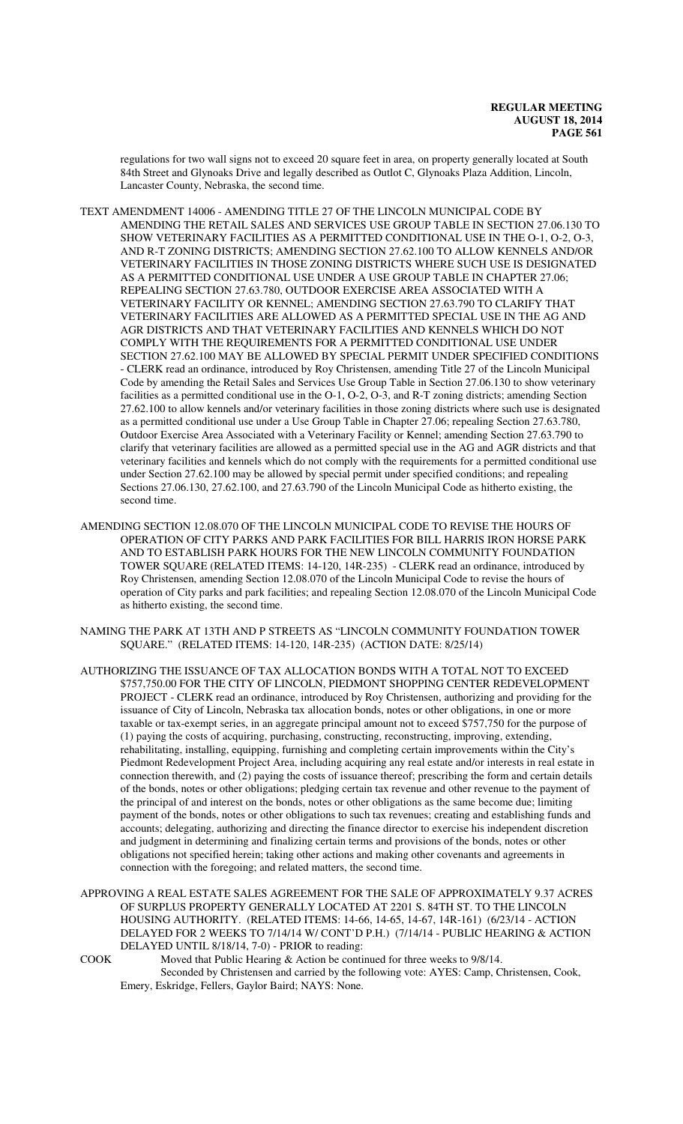regulations for two wall signs not to exceed 20 square feet in area, on property generally located at South 84th Street and Glynoaks Drive and legally described as Outlot C, Glynoaks Plaza Addition, Lincoln, Lancaster County, Nebraska, the second time.

- TEXT AMENDMENT 14006 AMENDING TITLE 27 OF THE LINCOLN MUNICIPAL CODE BY AMENDING THE RETAIL SALES AND SERVICES USE GROUP TABLE IN SECTION 27.06.130 TO SHOW VETERINARY FACILITIES AS A PERMITTED CONDITIONAL USE IN THE O-1, O-2, O-3, AND R-T ZONING DISTRICTS; AMENDING SECTION 27.62.100 TO ALLOW KENNELS AND/OR VETERINARY FACILITIES IN THOSE ZONING DISTRICTS WHERE SUCH USE IS DESIGNATED AS A PERMITTED CONDITIONAL USE UNDER A USE GROUP TABLE IN CHAPTER 27.06; REPEALING SECTION 27.63.780, OUTDOOR EXERCISE AREA ASSOCIATED WITH A VETERINARY FACILITY OR KENNEL; AMENDING SECTION 27.63.790 TO CLARIFY THAT VETERINARY FACILITIES ARE ALLOWED AS A PERMITTED SPECIAL USE IN THE AG AND AGR DISTRICTS AND THAT VETERINARY FACILITIES AND KENNELS WHICH DO NOT COMPLY WITH THE REQUIREMENTS FOR A PERMITTED CONDITIONAL USE UNDER SECTION 27.62.100 MAY BE ALLOWED BY SPECIAL PERMIT UNDER SPECIFIED CONDITIONS - CLERK read an ordinance, introduced by Roy Christensen, amending Title 27 of the Lincoln Municipal Code by amending the Retail Sales and Services Use Group Table in Section 27.06.130 to show veterinary facilities as a permitted conditional use in the O-1, O-2, O-3, and R-T zoning districts; amending Section 27.62.100 to allow kennels and/or veterinary facilities in those zoning districts where such use is designated as a permitted conditional use under a Use Group Table in Chapter 27.06; repealing Section 27.63.780, Outdoor Exercise Area Associated with a Veterinary Facility or Kennel; amending Section 27.63.790 to clarify that veterinary facilities are allowed as a permitted special use in the AG and AGR districts and that veterinary facilities and kennels which do not comply with the requirements for a permitted conditional use under Section 27.62.100 may be allowed by special permit under specified conditions; and repealing Sections 27.06.130, 27.62.100, and 27.63.790 of the Lincoln Municipal Code as hitherto existing, the second time.
- AMENDING SECTION 12.08.070 OF THE LINCOLN MUNICIPAL CODE TO REVISE THE HOURS OF OPERATION OF CITY PARKS AND PARK FACILITIES FOR BILL HARRIS IRON HORSE PARK AND TO ESTABLISH PARK HOURS FOR THE NEW LINCOLN COMMUNITY FOUNDATION TOWER SQUARE (RELATED ITEMS: 14-120, 14R-235) - CLERK read an ordinance, introduced by Roy Christensen, amending Section 12.08.070 of the Lincoln Municipal Code to revise the hours of operation of City parks and park facilities; and repealing Section 12.08.070 of the Lincoln Municipal Code as hitherto existing, the second time.
- NAMING THE PARK AT 13TH AND P STREETS AS "LINCOLN COMMUNITY FOUNDATION TOWER SQUARE." (RELATED ITEMS: 14-120, 14R-235) (ACTION DATE: 8/25/14)
- AUTHORIZING THE ISSUANCE OF TAX ALLOCATION BONDS WITH A TOTAL NOT TO EXCEED \$757,750.00 FOR THE CITY OF LINCOLN, PIEDMONT SHOPPING CENTER REDEVELOPMENT PROJECT - CLERK read an ordinance, introduced by Roy Christensen, authorizing and providing for the issuance of City of Lincoln, Nebraska tax allocation bonds, notes or other obligations, in one or more taxable or tax-exempt series, in an aggregate principal amount not to exceed \$757,750 for the purpose of (1) paying the costs of acquiring, purchasing, constructing, reconstructing, improving, extending, rehabilitating, installing, equipping, furnishing and completing certain improvements within the City's Piedmont Redevelopment Project Area, including acquiring any real estate and/or interests in real estate in connection therewith, and (2) paying the costs of issuance thereof; prescribing the form and certain details of the bonds, notes or other obligations; pledging certain tax revenue and other revenue to the payment of the principal of and interest on the bonds, notes or other obligations as the same become due; limiting payment of the bonds, notes or other obligations to such tax revenues; creating and establishing funds and accounts; delegating, authorizing and directing the finance director to exercise his independent discretion and judgment in determining and finalizing certain terms and provisions of the bonds, notes or other obligations not specified herein; taking other actions and making other covenants and agreements in connection with the foregoing; and related matters, the second time.
- APPROVING A REAL ESTATE SALES AGREEMENT FOR THE SALE OF APPROXIMATELY 9.37 ACRES OF SURPLUS PROPERTY GENERALLY LOCATED AT 2201 S. 84TH ST. TO THE LINCOLN HOUSING AUTHORITY. (RELATED ITEMS: 14-66, 14-65, 14-67, 14R-161) (6/23/14 - ACTION DELAYED FOR 2 WEEKS TO 7/14/14 W/ CONT'D P.H.) (7/14/14 - PUBLIC HEARING & ACTION DELAYED UNTIL 8/18/14, 7-0) - PRIOR to reading:
- COOK Moved that Public Hearing & Action be continued for three weeks to 9/8/14. Seconded by Christensen and carried by the following vote: AYES: Camp, Christensen, Cook, Emery, Eskridge, Fellers, Gaylor Baird; NAYS: None.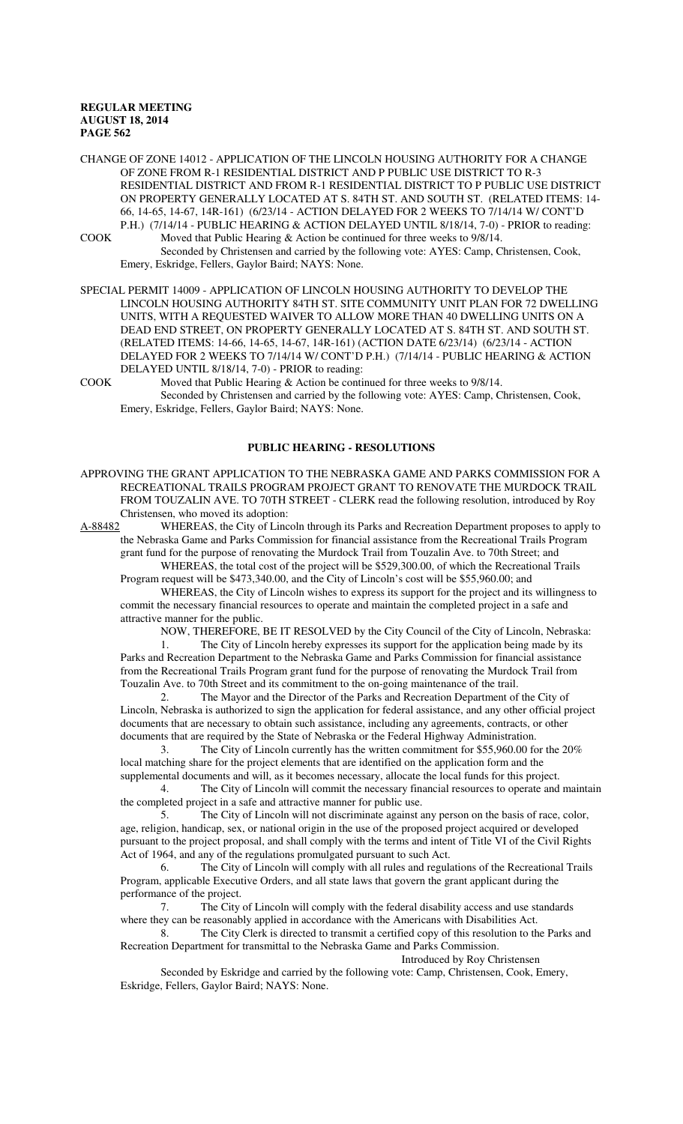CHANGE OF ZONE 14012 - APPLICATION OF THE LINCOLN HOUSING AUTHORITY FOR A CHANGE OF ZONE FROM R-1 RESIDENTIAL DISTRICT AND P PUBLIC USE DISTRICT TO R-3 RESIDENTIAL DISTRICT AND FROM R-1 RESIDENTIAL DISTRICT TO P PUBLIC USE DISTRICT ON PROPERTY GENERALLY LOCATED AT S. 84TH ST. AND SOUTH ST. (RELATED ITEMS: 14- 66, 14-65, 14-67, 14R-161) (6/23/14 - ACTION DELAYED FOR 2 WEEKS TO 7/14/14 W/ CONT'D P.H.) (7/14/14 - PUBLIC HEARING & ACTION DELAYED UNTIL 8/18/14, 7-0) - PRIOR to reading:

COOK Moved that Public Hearing & Action be continued for three weeks to 9/8/14. Seconded by Christensen and carried by the following vote: AYES: Camp, Christensen, Cook, Emery, Eskridge, Fellers, Gaylor Baird; NAYS: None.

SPECIAL PERMIT 14009 - APPLICATION OF LINCOLN HOUSING AUTHORITY TO DEVELOP THE LINCOLN HOUSING AUTHORITY 84TH ST. SITE COMMUNITY UNIT PLAN FOR 72 DWELLING UNITS, WITH A REQUESTED WAIVER TO ALLOW MORE THAN 40 DWELLING UNITS ON A DEAD END STREET, ON PROPERTY GENERALLY LOCATED AT S. 84TH ST. AND SOUTH ST. (RELATED ITEMS: 14-66, 14-65, 14-67, 14R-161) (ACTION DATE 6/23/14) (6/23/14 - ACTION DELAYED FOR 2 WEEKS TO 7/14/14 W/ CONT'D P.H.) (7/14/14 - PUBLIC HEARING & ACTION DELAYED UNTIL 8/18/14, 7-0) - PRIOR to reading:

COOK Moved that Public Hearing & Action be continued for three weeks to 9/8/14. Seconded by Christensen and carried by the following vote: AYES: Camp, Christensen, Cook, Emery, Eskridge, Fellers, Gaylor Baird; NAYS: None.

#### **PUBLIC HEARING - RESOLUTIONS**

APPROVING THE GRANT APPLICATION TO THE NEBRASKA GAME AND PARKS COMMISSION FOR A RECREATIONAL TRAILS PROGRAM PROJECT GRANT TO RENOVATE THE MURDOCK TRAIL FROM TOUZALIN AVE. TO 70TH STREET - CLERK read the following resolution, introduced by Roy Christensen, who moved its adoption:

A-88482 WHEREAS, the City of Lincoln through its Parks and Recreation Department proposes to apply to the Nebraska Game and Parks Commission for financial assistance from the Recreational Trails Program grant fund for the purpose of renovating the Murdock Trail from Touzalin Ave. to 70th Street; and

WHEREAS, the total cost of the project will be \$529,300.00, of which the Recreational Trails Program request will be \$473,340.00, and the City of Lincoln's cost will be \$55,960.00; and

WHEREAS, the City of Lincoln wishes to express its support for the project and its willingness to commit the necessary financial resources to operate and maintain the completed project in a safe and attractive manner for the public.

NOW, THEREFORE, BE IT RESOLVED by the City Council of the City of Lincoln, Nebraska:

The City of Lincoln hereby expresses its support for the application being made by its Parks and Recreation Department to the Nebraska Game and Parks Commission for financial assistance from the Recreational Trails Program grant fund for the purpose of renovating the Murdock Trail from Touzalin Ave. to 70th Street and its commitment to the on-going maintenance of the trail.

The Mayor and the Director of the Parks and Recreation Department of the City of Lincoln, Nebraska is authorized to sign the application for federal assistance, and any other official project documents that are necessary to obtain such assistance, including any agreements, contracts, or other documents that are required by the State of Nebraska or the Federal Highway Administration.

3. The City of Lincoln currently has the written commitment for \$55,960.00 for the 20% local matching share for the project elements that are identified on the application form and the supplemental documents and will, as it becomes necessary, allocate the local funds for this project.

4. The City of Lincoln will commit the necessary financial resources to operate and maintain the completed project in a safe and attractive manner for public use.

5. The City of Lincoln will not discriminate against any person on the basis of race, color, age, religion, handicap, sex, or national origin in the use of the proposed project acquired or developed pursuant to the project proposal, and shall comply with the terms and intent of Title VI of the Civil Rights Act of 1964, and any of the regulations promulgated pursuant to such Act.

6. The City of Lincoln will comply with all rules and regulations of the Recreational Trails Program, applicable Executive Orders, and all state laws that govern the grant applicant during the performance of the project.

7. The City of Lincoln will comply with the federal disability access and use standards where they can be reasonably applied in accordance with the Americans with Disabilities Act.

8. The City Clerk is directed to transmit a certified copy of this resolution to the Parks and Recreation Department for transmittal to the Nebraska Game and Parks Commission.

Introduced by Roy Christensen

Seconded by Eskridge and carried by the following vote: Camp, Christensen, Cook, Emery, Eskridge, Fellers, Gaylor Baird; NAYS: None.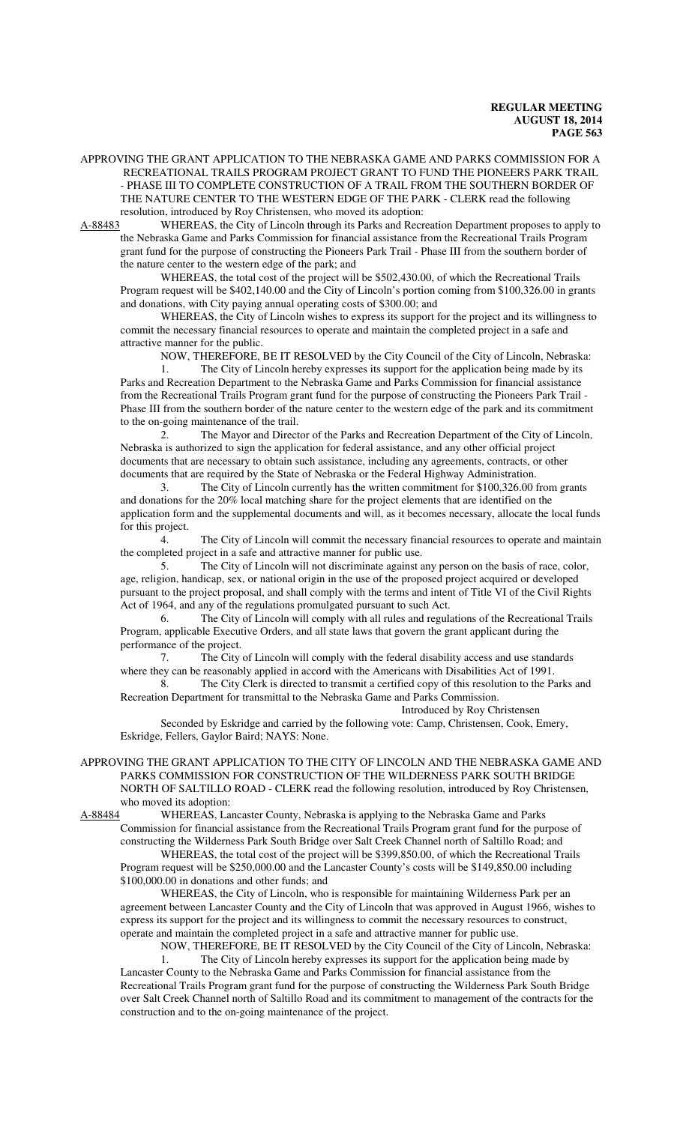APPROVING THE GRANT APPLICATION TO THE NEBRASKA GAME AND PARKS COMMISSION FOR A RECREATIONAL TRAILS PROGRAM PROJECT GRANT TO FUND THE PIONEERS PARK TRAIL - PHASE III TO COMPLETE CONSTRUCTION OF A TRAIL FROM THE SOUTHERN BORDER OF THE NATURE CENTER TO THE WESTERN EDGE OF THE PARK - CLERK read the following resolution, introduced by Roy Christensen, who moved its adoption:

A-88483 WHEREAS, the City of Lincoln through its Parks and Recreation Department proposes to apply to the Nebraska Game and Parks Commission for financial assistance from the Recreational Trails Program grant fund for the purpose of constructing the Pioneers Park Trail - Phase III from the southern border of the nature center to the western edge of the park; and

WHEREAS, the total cost of the project will be \$502,430.00, of which the Recreational Trails Program request will be \$402,140.00 and the City of Lincoln's portion coming from \$100,326.00 in grants and donations, with City paying annual operating costs of \$300.00; and

WHEREAS, the City of Lincoln wishes to express its support for the project and its willingness to commit the necessary financial resources to operate and maintain the completed project in a safe and attractive manner for the public.

NOW, THEREFORE, BE IT RESOLVED by the City Council of the City of Lincoln, Nebraska:

1. The City of Lincoln hereby expresses its support for the application being made by its Parks and Recreation Department to the Nebraska Game and Parks Commission for financial assistance from the Recreational Trails Program grant fund for the purpose of constructing the Pioneers Park Trail - Phase III from the southern border of the nature center to the western edge of the park and its commitment to the on-going maintenance of the trail.

2. The Mayor and Director of the Parks and Recreation Department of the City of Lincoln, Nebraska is authorized to sign the application for federal assistance, and any other official project documents that are necessary to obtain such assistance, including any agreements, contracts, or other documents that are required by the State of Nebraska or the Federal Highway Administration.

3. The City of Lincoln currently has the written commitment for \$100,326.00 from grants and donations for the 20% local matching share for the project elements that are identified on the application form and the supplemental documents and will, as it becomes necessary, allocate the local funds for this project.

4. The City of Lincoln will commit the necessary financial resources to operate and maintain the completed project in a safe and attractive manner for public use.

5. The City of Lincoln will not discriminate against any person on the basis of race, color, age, religion, handicap, sex, or national origin in the use of the proposed project acquired or developed pursuant to the project proposal, and shall comply with the terms and intent of Title VI of the Civil Rights Act of 1964, and any of the regulations promulgated pursuant to such Act.

6. The City of Lincoln will comply with all rules and regulations of the Recreational Trails Program, applicable Executive Orders, and all state laws that govern the grant applicant during the performance of the project.

7. The City of Lincoln will comply with the federal disability access and use standards where they can be reasonably applied in accord with the Americans with Disabilities Act of 1991.

8. The City Clerk is directed to transmit a certified copy of this resolution to the Parks and Recreation Department for transmittal to the Nebraska Game and Parks Commission.

Introduced by Roy Christensen

Seconded by Eskridge and carried by the following vote: Camp, Christensen, Cook, Emery, Eskridge, Fellers, Gaylor Baird; NAYS: None.

APPROVING THE GRANT APPLICATION TO THE CITY OF LINCOLN AND THE NEBRASKA GAME AND PARKS COMMISSION FOR CONSTRUCTION OF THE WILDERNESS PARK SOUTH BRIDGE NORTH OF SALTILLO ROAD - CLERK read the following resolution, introduced by Roy Christensen, who moved its adoption:<br>A-88484 WHEREAS, La

WHEREAS, Lancaster County, Nebraska is applying to the Nebraska Game and Parks Commission for financial assistance from the Recreational Trails Program grant fund for the purpose of

constructing the Wilderness Park South Bridge over Salt Creek Channel north of Saltillo Road; and WHEREAS, the total cost of the project will be \$399,850.00, of which the Recreational Trails Program request will be \$250,000.00 and the Lancaster County's costs will be \$149,850.00 including \$100,000.00 in donations and other funds; and

WHEREAS, the City of Lincoln, who is responsible for maintaining Wilderness Park per an agreement between Lancaster County and the City of Lincoln that was approved in August 1966, wishes to express its support for the project and its willingness to commit the necessary resources to construct, operate and maintain the completed project in a safe and attractive manner for public use.

NOW, THEREFORE, BE IT RESOLVED by the City Council of the City of Lincoln, Nebraska:

The City of Lincoln hereby expresses its support for the application being made by Lancaster County to the Nebraska Game and Parks Commission for financial assistance from the Recreational Trails Program grant fund for the purpose of constructing the Wilderness Park South Bridge over Salt Creek Channel north of Saltillo Road and its commitment to management of the contracts for the construction and to the on-going maintenance of the project.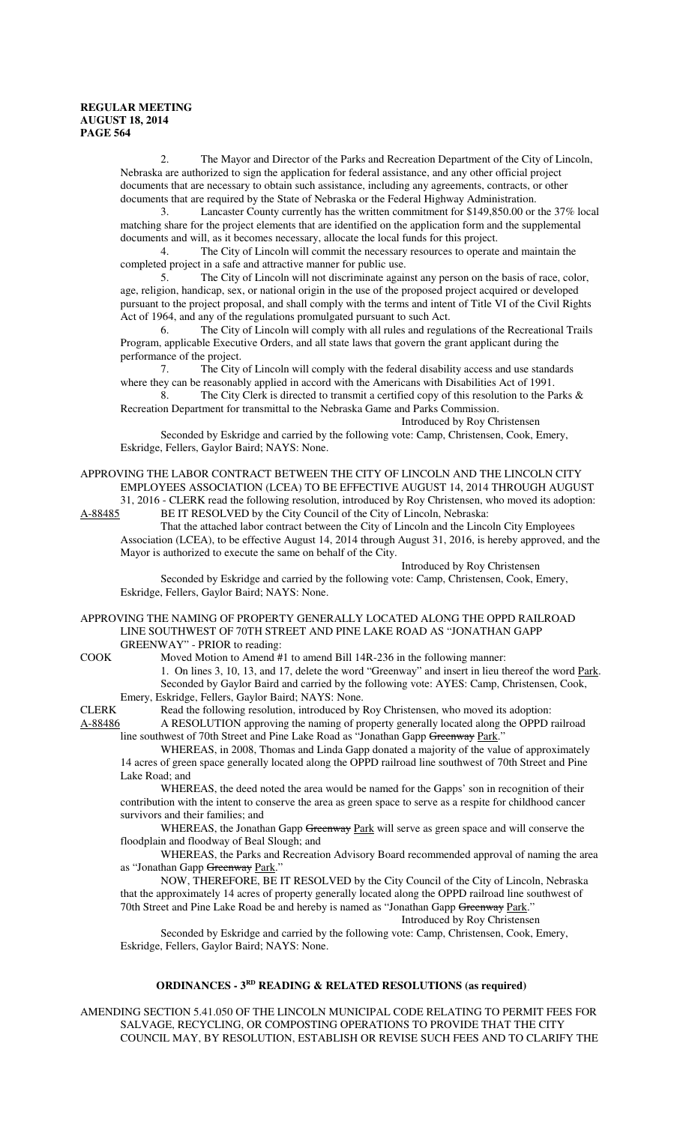2. The Mayor and Director of the Parks and Recreation Department of the City of Lincoln, Nebraska are authorized to sign the application for federal assistance, and any other official project documents that are necessary to obtain such assistance, including any agreements, contracts, or other documents that are required by the State of Nebraska or the Federal Highway Administration.

3. Lancaster County currently has the written commitment for \$149,850.00 or the 37% local matching share for the project elements that are identified on the application form and the supplemental documents and will, as it becomes necessary, allocate the local funds for this project.

4. The City of Lincoln will commit the necessary resources to operate and maintain the completed project in a safe and attractive manner for public use.

5. The City of Lincoln will not discriminate against any person on the basis of race, color, age, religion, handicap, sex, or national origin in the use of the proposed project acquired or developed pursuant to the project proposal, and shall comply with the terms and intent of Title VI of the Civil Rights Act of 1964, and any of the regulations promulgated pursuant to such Act.

6. The City of Lincoln will comply with all rules and regulations of the Recreational Trails Program, applicable Executive Orders, and all state laws that govern the grant applicant during the performance of the project.

7. The City of Lincoln will comply with the federal disability access and use standards where they can be reasonably applied in accord with the Americans with Disabilities Act of 1991.

8. The City Clerk is directed to transmit a certified copy of this resolution to the Parks & Recreation Department for transmittal to the Nebraska Game and Parks Commission.

Introduced by Roy Christensen

Seconded by Eskridge and carried by the following vote: Camp, Christensen, Cook, Emery, Eskridge, Fellers, Gaylor Baird; NAYS: None.

APPROVING THE LABOR CONTRACT BETWEEN THE CITY OF LINCOLN AND THE LINCOLN CITY EMPLOYEES ASSOCIATION (LCEA) TO BE EFFECTIVE AUGUST 14, 2014 THROUGH AUGUST 31, 2016 - CLERK read the following resolution, introduced by Roy Christensen, who moved its adoption:

A-88485 BE IT RESOLVED by the City Council of the City of Lincoln, Nebraska:

That the attached labor contract between the City of Lincoln and the Lincoln City Employees Association (LCEA), to be effective August 14, 2014 through August 31, 2016, is hereby approved, and the Mayor is authorized to execute the same on behalf of the City.

Introduced by Roy Christensen

Seconded by Eskridge and carried by the following vote: Camp, Christensen, Cook, Emery, Eskridge, Fellers, Gaylor Baird; NAYS: None.

#### APPROVING THE NAMING OF PROPERTY GENERALLY LOCATED ALONG THE OPPD RAILROAD LINE SOUTHWEST OF 70TH STREET AND PINE LAKE ROAD AS "JONATHAN GAPP GREENWAY" - PRIOR to reading:

COOK Moved Motion to Amend #1 to amend Bill 14R-236 in the following manner:

1. On lines 3, 10, 13, and 17, delete the word "Greenway" and insert in lieu thereof the word Park. Seconded by Gaylor Baird and carried by the following vote: AYES: Camp, Christensen, Cook, Emery, Eskridge, Fellers, Gaylor Baird; NAYS: None.

CLERK Read the following resolution, introduced by Roy Christensen, who moved its adoption: A-88486 A RESOLUTION approving the naming of property generally located along the OPPD railroad

line southwest of 70th Street and Pine Lake Road as "Jonathan Gapp Greenway Park."

WHEREAS, in 2008, Thomas and Linda Gapp donated a majority of the value of approximately 14 acres of green space generally located along the OPPD railroad line southwest of 70th Street and Pine Lake Road; and

WHEREAS, the deed noted the area would be named for the Gapps' son in recognition of their contribution with the intent to conserve the area as green space to serve as a respite for childhood cancer survivors and their families; and

WHEREAS, the Jonathan Gapp Greenway Park will serve as green space and will conserve the floodplain and floodway of Beal Slough; and

WHEREAS, the Parks and Recreation Advisory Board recommended approval of naming the area as "Jonathan Gapp Greenway Park."

NOW, THEREFORE, BE IT RESOLVED by the City Council of the City of Lincoln, Nebraska that the approximately 14 acres of property generally located along the OPPD railroad line southwest of 70th Street and Pine Lake Road be and hereby is named as "Jonathan Gapp Greenway Park."

Introduced by Roy Christensen

Seconded by Eskridge and carried by the following vote: Camp, Christensen, Cook, Emery, Eskridge, Fellers, Gaylor Baird; NAYS: None.

#### **ORDINANCES - 3RD READING & RELATED RESOLUTIONS (as required)**

AMENDING SECTION 5.41.050 OF THE LINCOLN MUNICIPAL CODE RELATING TO PERMIT FEES FOR SALVAGE, RECYCLING, OR COMPOSTING OPERATIONS TO PROVIDE THAT THE CITY COUNCIL MAY, BY RESOLUTION, ESTABLISH OR REVISE SUCH FEES AND TO CLARIFY THE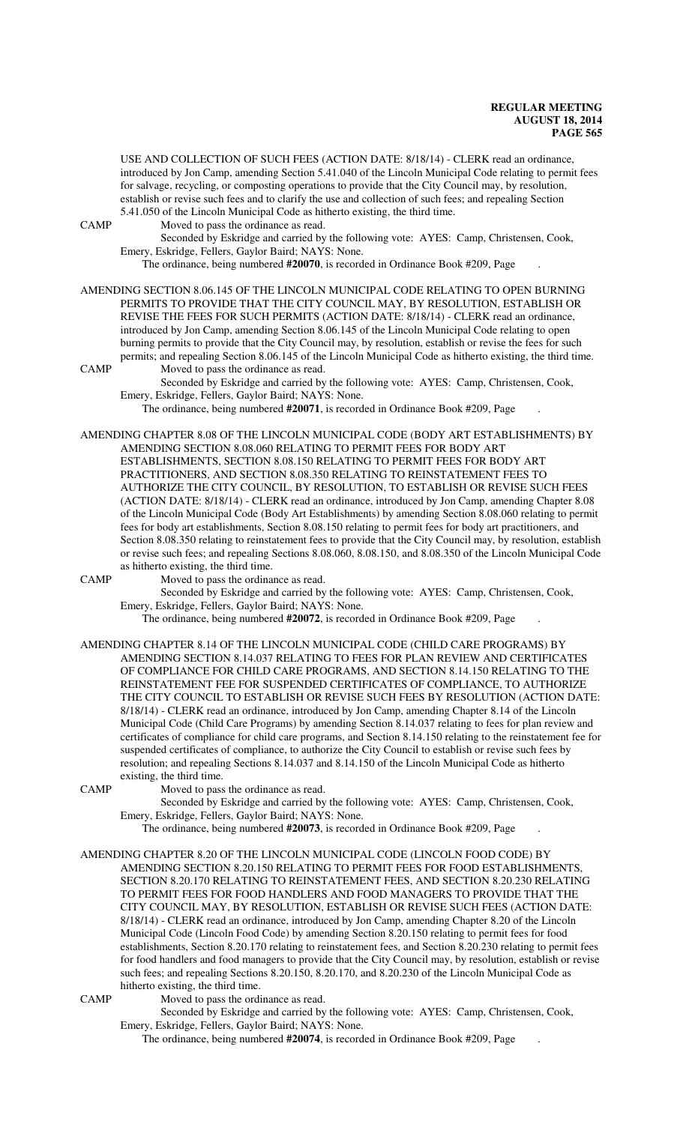USE AND COLLECTION OF SUCH FEES (ACTION DATE: 8/18/14) - CLERK read an ordinance, introduced by Jon Camp, amending Section 5.41.040 of the Lincoln Municipal Code relating to permit fees for salvage, recycling, or composting operations to provide that the City Council may, by resolution, establish or revise such fees and to clarify the use and collection of such fees; and repealing Section 5.41.050 of the Lincoln Municipal Code as hitherto existing, the third time.

CAMP Moved to pass the ordinance as read.

Seconded by Eskridge and carried by the following vote: AYES: Camp, Christensen, Cook, Emery, Eskridge, Fellers, Gaylor Baird; NAYS: None.

The ordinance, being numbered **#20070**, is recorded in Ordinance Book #209, Page .

AMENDING SECTION 8.06.145 OF THE LINCOLN MUNICIPAL CODE RELATING TO OPEN BURNING PERMITS TO PROVIDE THAT THE CITY COUNCIL MAY, BY RESOLUTION, ESTABLISH OR REVISE THE FEES FOR SUCH PERMITS (ACTION DATE: 8/18/14) - CLERK read an ordinance, introduced by Jon Camp, amending Section 8.06.145 of the Lincoln Municipal Code relating to open burning permits to provide that the City Council may, by resolution, establish or revise the fees for such permits; and repealing Section 8.06.145 of the Lincoln Municipal Code as hitherto existing, the third time.

CAMP Moved to pass the ordinance as read. Seconded by Eskridge and carried by the following vote: AYES: Camp, Christensen, Cook,

Emery, Eskridge, Fellers, Gaylor Baird; NAYS: None.

The ordinance, being numbered **#20071**, is recorded in Ordinance Book #209, Page .

AMENDING CHAPTER 8.08 OF THE LINCOLN MUNICIPAL CODE (BODY ART ESTABLISHMENTS) BY AMENDING SECTION 8.08.060 RELATING TO PERMIT FEES FOR BODY ART ESTABLISHMENTS, SECTION 8.08.150 RELATING TO PERMIT FEES FOR BODY ART PRACTITIONERS, AND SECTION 8.08.350 RELATING TO REINSTATEMENT FEES TO AUTHORIZE THE CITY COUNCIL, BY RESOLUTION, TO ESTABLISH OR REVISE SUCH FEES (ACTION DATE: 8/18/14) - CLERK read an ordinance, introduced by Jon Camp, amending Chapter 8.08 of the Lincoln Municipal Code (Body Art Establishments) by amending Section 8.08.060 relating to permit fees for body art establishments, Section 8.08.150 relating to permit fees for body art practitioners, and Section 8.08.350 relating to reinstatement fees to provide that the City Council may, by resolution, establish or revise such fees; and repealing Sections 8.08.060, 8.08.150, and 8.08.350 of the Lincoln Municipal Code as hitherto existing, the third time.

CAMP Moved to pass the ordinance as read.

Seconded by Eskridge and carried by the following vote: AYES: Camp, Christensen, Cook, Emery, Eskridge, Fellers, Gaylor Baird; NAYS: None.

The ordinance, being numbered **#20072**, is recorded in Ordinance Book #209, Page .

AMENDING CHAPTER 8.14 OF THE LINCOLN MUNICIPAL CODE (CHILD CARE PROGRAMS) BY AMENDING SECTION 8.14.037 RELATING TO FEES FOR PLAN REVIEW AND CERTIFICATES OF COMPLIANCE FOR CHILD CARE PROGRAMS, AND SECTION 8.14.150 RELATING TO THE REINSTATEMENT FEE FOR SUSPENDED CERTIFICATES OF COMPLIANCE, TO AUTHORIZE THE CITY COUNCIL TO ESTABLISH OR REVISE SUCH FEES BY RESOLUTION (ACTION DATE: 8/18/14) - CLERK read an ordinance, introduced by Jon Camp, amending Chapter 8.14 of the Lincoln Municipal Code (Child Care Programs) by amending Section 8.14.037 relating to fees for plan review and certificates of compliance for child care programs, and Section 8.14.150 relating to the reinstatement fee for suspended certificates of compliance, to authorize the City Council to establish or revise such fees by resolution; and repealing Sections 8.14.037 and 8.14.150 of the Lincoln Municipal Code as hitherto existing, the third time.

CAMP Moved to pass the ordinance as read.

Seconded by Eskridge and carried by the following vote: AYES: Camp, Christensen, Cook, Emery, Eskridge, Fellers, Gaylor Baird; NAYS: None.

The ordinance, being numbered **#20073**, is recorded in Ordinance Book #209, Page .

- AMENDING CHAPTER 8.20 OF THE LINCOLN MUNICIPAL CODE (LINCOLN FOOD CODE) BY AMENDING SECTION 8.20.150 RELATING TO PERMIT FEES FOR FOOD ESTABLISHMENTS, SECTION 8.20.170 RELATING TO REINSTATEMENT FEES, AND SECTION 8.20.230 RELATING TO PERMIT FEES FOR FOOD HANDLERS AND FOOD MANAGERS TO PROVIDE THAT THE CITY COUNCIL MAY, BY RESOLUTION, ESTABLISH OR REVISE SUCH FEES (ACTION DATE: 8/18/14) - CLERK read an ordinance, introduced by Jon Camp, amending Chapter 8.20 of the Lincoln Municipal Code (Lincoln Food Code) by amending Section 8.20.150 relating to permit fees for food establishments, Section 8.20.170 relating to reinstatement fees, and Section 8.20.230 relating to permit fees for food handlers and food managers to provide that the City Council may, by resolution, establish or revise such fees; and repealing Sections 8.20.150, 8.20.170, and 8.20.230 of the Lincoln Municipal Code as hitherto existing, the third time.
- 

CAMP Moved to pass the ordinance as read.

Seconded by Eskridge and carried by the following vote: AYES: Camp, Christensen, Cook, Emery, Eskridge, Fellers, Gaylor Baird; NAYS: None.

The ordinance, being numbered **#20074**, is recorded in Ordinance Book #209, Page .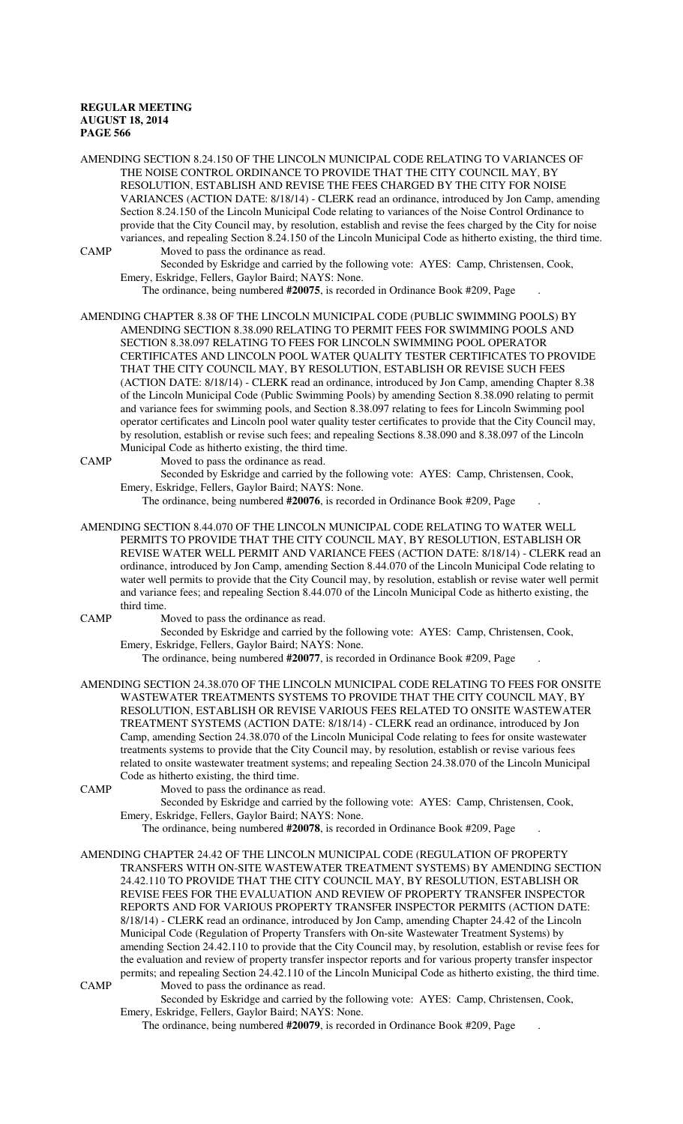AMENDING SECTION 8.24.150 OF THE LINCOLN MUNICIPAL CODE RELATING TO VARIANCES OF THE NOISE CONTROL ORDINANCE TO PROVIDE THAT THE CITY COUNCIL MAY, BY RESOLUTION, ESTABLISH AND REVISE THE FEES CHARGED BY THE CITY FOR NOISE VARIANCES (ACTION DATE: 8/18/14) - CLERK read an ordinance, introduced by Jon Camp, amending Section 8.24.150 of the Lincoln Municipal Code relating to variances of the Noise Control Ordinance to provide that the City Council may, by resolution, establish and revise the fees charged by the City for noise variances, and repealing Section 8.24.150 of the Lincoln Municipal Code as hitherto existing, the third time. CAMP Moved to pass the ordinance as read.

Seconded by Eskridge and carried by the following vote: AYES: Camp, Christensen, Cook, Emery, Eskridge, Fellers, Gaylor Baird; NAYS: None.

The ordinance, being numbered **#20075**, is recorded in Ordinance Book #209, Page .

AMENDING CHAPTER 8.38 OF THE LINCOLN MUNICIPAL CODE (PUBLIC SWIMMING POOLS) BY AMENDING SECTION 8.38.090 RELATING TO PERMIT FEES FOR SWIMMING POOLS AND SECTION 8.38.097 RELATING TO FEES FOR LINCOLN SWIMMING POOL OPERATOR CERTIFICATES AND LINCOLN POOL WATER QUALITY TESTER CERTIFICATES TO PROVIDE THAT THE CITY COUNCIL MAY, BY RESOLUTION, ESTABLISH OR REVISE SUCH FEES (ACTION DATE: 8/18/14) - CLERK read an ordinance, introduced by Jon Camp, amending Chapter 8.38 of the Lincoln Municipal Code (Public Swimming Pools) by amending Section 8.38.090 relating to permit and variance fees for swimming pools, and Section 8.38.097 relating to fees for Lincoln Swimming pool operator certificates and Lincoln pool water quality tester certificates to provide that the City Council may, by resolution, establish or revise such fees; and repealing Sections 8.38.090 and 8.38.097 of the Lincoln Municipal Code as hitherto existing, the third time.

CAMP Moved to pass the ordinance as read.

Seconded by Eskridge and carried by the following vote: AYES: Camp, Christensen, Cook, Emery, Eskridge, Fellers, Gaylor Baird; NAYS: None.

The ordinance, being numbered **#20076**, is recorded in Ordinance Book #209, Page .

AMENDING SECTION 8.44.070 OF THE LINCOLN MUNICIPAL CODE RELATING TO WATER WELL PERMITS TO PROVIDE THAT THE CITY COUNCIL MAY, BY RESOLUTION, ESTABLISH OR REVISE WATER WELL PERMIT AND VARIANCE FEES (ACTION DATE: 8/18/14) - CLERK read an ordinance, introduced by Jon Camp, amending Section 8.44.070 of the Lincoln Municipal Code relating to water well permits to provide that the City Council may, by resolution, establish or revise water well permit and variance fees; and repealing Section 8.44.070 of the Lincoln Municipal Code as hitherto existing, the third time.

CAMP Moved to pass the ordinance as read.

Seconded by Eskridge and carried by the following vote: AYES: Camp, Christensen, Cook, Emery, Eskridge, Fellers, Gaylor Baird; NAYS: None.

The ordinance, being numbered **#20077**, is recorded in Ordinance Book #209, Page .

AMENDING SECTION 24.38.070 OF THE LINCOLN MUNICIPAL CODE RELATING TO FEES FOR ONSITE WASTEWATER TREATMENTS SYSTEMS TO PROVIDE THAT THE CITY COUNCIL MAY, BY RESOLUTION, ESTABLISH OR REVISE VARIOUS FEES RELATED TO ONSITE WASTEWATER TREATMENT SYSTEMS (ACTION DATE: 8/18/14) - CLERK read an ordinance, introduced by Jon Camp, amending Section 24.38.070 of the Lincoln Municipal Code relating to fees for onsite wastewater treatments systems to provide that the City Council may, by resolution, establish or revise various fees related to onsite wastewater treatment systems; and repealing Section 24.38.070 of the Lincoln Municipal Code as hitherto existing, the third time.

CAMP Moved to pass the ordinance as read.

Seconded by Eskridge and carried by the following vote: AYES: Camp, Christensen, Cook, Emery, Eskridge, Fellers, Gaylor Baird; NAYS: None.

The ordinance, being numbered **#20078**, is recorded in Ordinance Book #209, Page .

AMENDING CHAPTER 24.42 OF THE LINCOLN MUNICIPAL CODE (REGULATION OF PROPERTY TRANSFERS WITH ON-SITE WASTEWATER TREATMENT SYSTEMS) BY AMENDING SECTION 24.42.110 TO PROVIDE THAT THE CITY COUNCIL MAY, BY RESOLUTION, ESTABLISH OR REVISE FEES FOR THE EVALUATION AND REVIEW OF PROPERTY TRANSFER INSPECTOR REPORTS AND FOR VARIOUS PROPERTY TRANSFER INSPECTOR PERMITS (ACTION DATE: 8/18/14) - CLERK read an ordinance, introduced by Jon Camp, amending Chapter 24.42 of the Lincoln Municipal Code (Regulation of Property Transfers with On-site Wastewater Treatment Systems) by amending Section 24.42.110 to provide that the City Council may, by resolution, establish or revise fees for the evaluation and review of property transfer inspector reports and for various property transfer inspector permits; and repealing Section 24.42.110 of the Lincoln Municipal Code as hitherto existing, the third time. CAMP Moved to pass the ordinance as read.

Seconded by Eskridge and carried by the following vote: AYES: Camp, Christensen, Cook, Emery, Eskridge, Fellers, Gaylor Baird; NAYS: None.

The ordinance, being numbered **#20079**, is recorded in Ordinance Book #209, Page .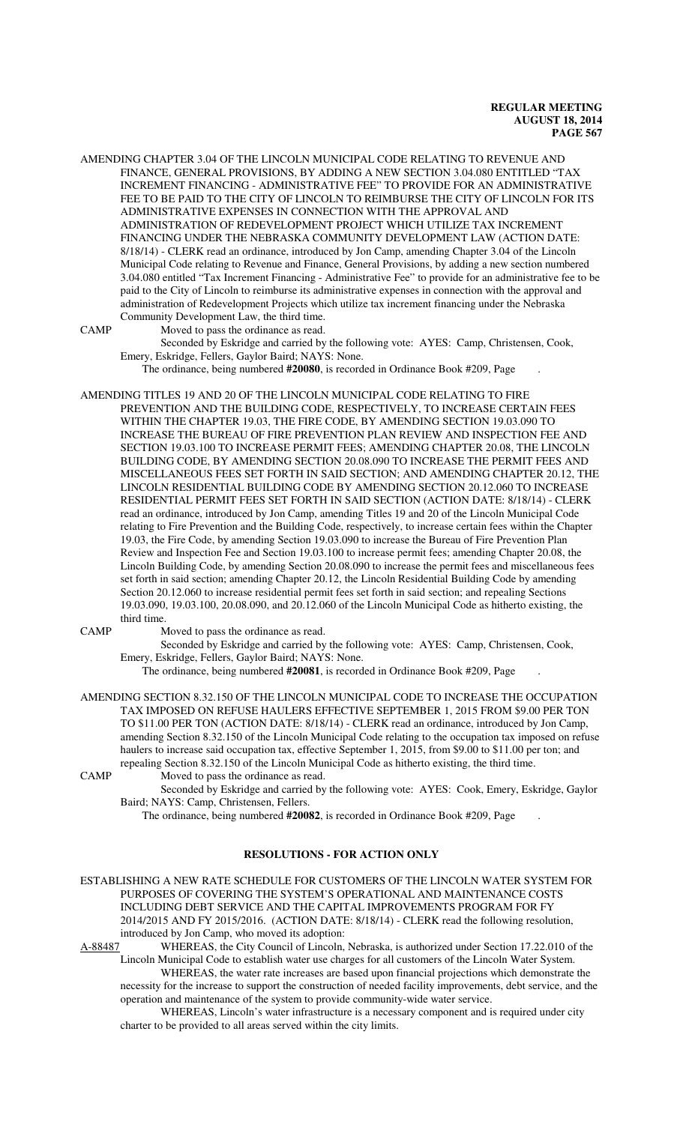AMENDING CHAPTER 3.04 OF THE LINCOLN MUNICIPAL CODE RELATING TO REVENUE AND FINANCE, GENERAL PROVISIONS, BY ADDING A NEW SECTION 3.04.080 ENTITLED "TAX INCREMENT FINANCING - ADMINISTRATIVE FEE" TO PROVIDE FOR AN ADMINISTRATIVE FEE TO BE PAID TO THE CITY OF LINCOLN TO REIMBURSE THE CITY OF LINCOLN FOR ITS ADMINISTRATIVE EXPENSES IN CONNECTION WITH THE APPROVAL AND ADMINISTRATION OF REDEVELOPMENT PROJECT WHICH UTILIZE TAX INCREMENT FINANCING UNDER THE NEBRASKA COMMUNITY DEVELOPMENT LAW (ACTION DATE: 8/18/14) - CLERK read an ordinance, introduced by Jon Camp, amending Chapter 3.04 of the Lincoln Municipal Code relating to Revenue and Finance, General Provisions, by adding a new section numbered 3.04.080 entitled "Tax Increment Financing - Administrative Fee" to provide for an administrative fee to be paid to the City of Lincoln to reimburse its administrative expenses in connection with the approval and administration of Redevelopment Projects which utilize tax increment financing under the Nebraska Community Development Law, the third time.

CAMP Moved to pass the ordinance as read.

Seconded by Eskridge and carried by the following vote: AYES: Camp, Christensen, Cook, Emery, Eskridge, Fellers, Gaylor Baird; NAYS: None.

The ordinance, being numbered **#20080**, is recorded in Ordinance Book #209, Page .

AMENDING TITLES 19 AND 20 OF THE LINCOLN MUNICIPAL CODE RELATING TO FIRE PREVENTION AND THE BUILDING CODE, RESPECTIVELY, TO INCREASE CERTAIN FEES WITHIN THE CHAPTER 19.03, THE FIRE CODE, BY AMENDING SECTION 19.03.090 TO INCREASE THE BUREAU OF FIRE PREVENTION PLAN REVIEW AND INSPECTION FEE AND SECTION 19.03.100 TO INCREASE PERMIT FEES; AMENDING CHAPTER 20.08, THE LINCOLN BUILDING CODE, BY AMENDING SECTION 20.08.090 TO INCREASE THE PERMIT FEES AND MISCELLANEOUS FEES SET FORTH IN SAID SECTION; AND AMENDING CHAPTER 20.12, THE LINCOLN RESIDENTIAL BUILDING CODE BY AMENDING SECTION 20.12.060 TO INCREASE RESIDENTIAL PERMIT FEES SET FORTH IN SAID SECTION (ACTION DATE: 8/18/14) - CLERK read an ordinance, introduced by Jon Camp, amending Titles 19 and 20 of the Lincoln Municipal Code relating to Fire Prevention and the Building Code, respectively, to increase certain fees within the Chapter 19.03, the Fire Code, by amending Section 19.03.090 to increase the Bureau of Fire Prevention Plan Review and Inspection Fee and Section 19.03.100 to increase permit fees; amending Chapter 20.08, the Lincoln Building Code, by amending Section 20.08.090 to increase the permit fees and miscellaneous fees set forth in said section; amending Chapter 20.12, the Lincoln Residential Building Code by amending Section 20.12.060 to increase residential permit fees set forth in said section; and repealing Sections 19.03.090, 19.03.100, 20.08.090, and 20.12.060 of the Lincoln Municipal Code as hitherto existing, the third time.

CAMP Moved to pass the ordinance as read.

Seconded by Eskridge and carried by the following vote: AYES: Camp, Christensen, Cook, Emery, Eskridge, Fellers, Gaylor Baird; NAYS: None.

The ordinance, being numbered **#20081**, is recorded in Ordinance Book #209, Page .

AMENDING SECTION 8.32.150 OF THE LINCOLN MUNICIPAL CODE TO INCREASE THE OCCUPATION TAX IMPOSED ON REFUSE HAULERS EFFECTIVE SEPTEMBER 1, 2015 FROM \$9.00 PER TON TO \$11.00 PER TON (ACTION DATE: 8/18/14) - CLERK read an ordinance, introduced by Jon Camp, amending Section 8.32.150 of the Lincoln Municipal Code relating to the occupation tax imposed on refuse haulers to increase said occupation tax, effective September 1, 2015, from \$9.00 to \$11.00 per ton; and repealing Section 8.32.150 of the Lincoln Municipal Code as hitherto existing, the third time. CAMP Moved to pass the ordinance as read.

Seconded by Eskridge and carried by the following vote: AYES: Cook, Emery, Eskridge, Gaylor Baird; NAYS: Camp, Christensen, Fellers.

The ordinance, being numbered **#20082**, is recorded in Ordinance Book #209, Page .

## **RESOLUTIONS - FOR ACTION ONLY**

ESTABLISHING A NEW RATE SCHEDULE FOR CUSTOMERS OF THE LINCOLN WATER SYSTEM FOR PURPOSES OF COVERING THE SYSTEM'S OPERATIONAL AND MAINTENANCE COSTS INCLUDING DEBT SERVICE AND THE CAPITAL IMPROVEMENTS PROGRAM FOR FY 2014/2015 AND FY 2015/2016. (ACTION DATE: 8/18/14) - CLERK read the following resolution, introduced by Jon Camp, who moved its adoption:<br>A-88487 WHEREAS, the City Council of Lincoln,

WHEREAS, the City Council of Lincoln, Nebraska, is authorized under Section 17.22.010 of the Lincoln Municipal Code to establish water use charges for all customers of the Lincoln Water System.

WHEREAS, the water rate increases are based upon financial projections which demonstrate the necessity for the increase to support the construction of needed facility improvements, debt service, and the operation and maintenance of the system to provide community-wide water service.

WHEREAS, Lincoln's water infrastructure is a necessary component and is required under city charter to be provided to all areas served within the city limits.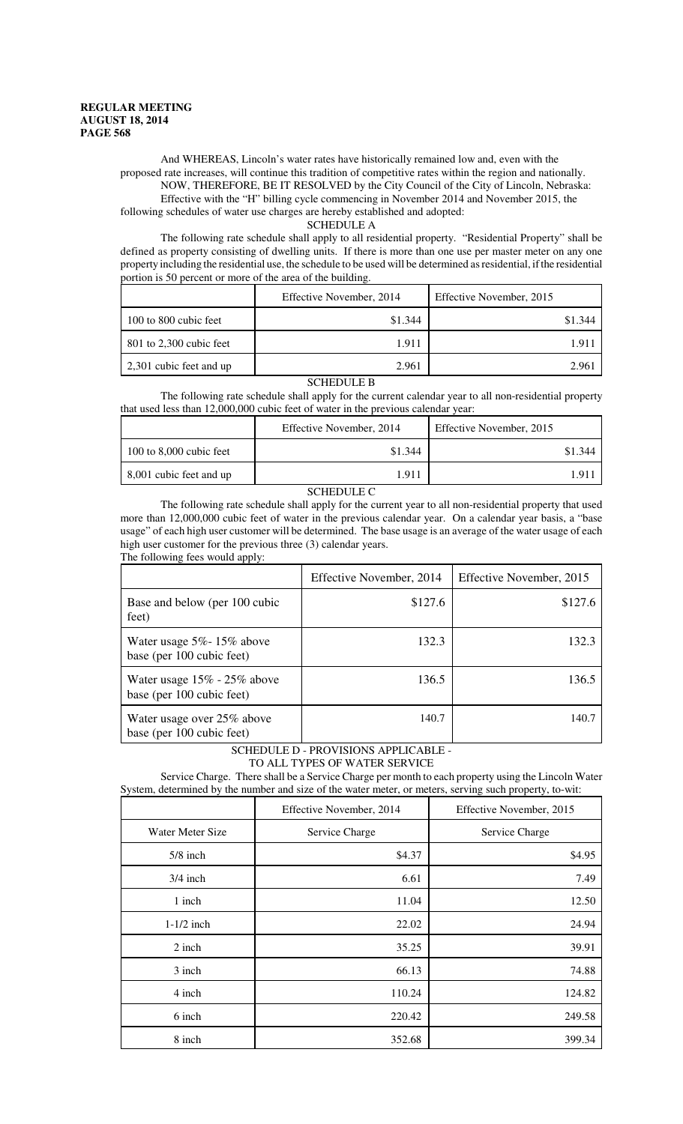And WHEREAS, Lincoln's water rates have historically remained low and, even with the proposed rate increases, will continue this tradition of competitive rates within the region and nationally. NOW, THEREFORE, BE IT RESOLVED by the City Council of the City of Lincoln, Nebraska: Effective with the "H" billing cycle commencing in November 2014 and November 2015, the following schedules of water use charges are hereby established and adopted:

#### SCHEDULE A

The following rate schedule shall apply to all residential property. "Residential Property" shall be defined as property consisting of dwelling units. If there is more than one use per master meter on any one property including the residential use, the schedule to be used will be determined as residential, if the residential portion is 50 percent or more of the area of the building.

|                           | Effective November, 2014 | Effective November, 2015 |
|---------------------------|--------------------------|--------------------------|
| 100 to 800 cubic feet     | \$1.344                  | \$1.344                  |
| $801$ to 2,300 cubic feet | 1.911                    | 1.91                     |
| 2,301 cubic feet and up   | 2.961                    | 2.961                    |

## SCHEDULE B

The following rate schedule shall apply for the current calendar year to all non-residential property that used less than 12,000,000 cubic feet of water in the previous calendar year:

|                             | Effective November, 2014 | Effective November, 2015 |
|-----------------------------|--------------------------|--------------------------|
| $100$ to $8,000$ cubic feet | \$1.344                  | \$1.344                  |
| 8,001 cubic feet and up     | 1.911                    |                          |
|                             |                          |                          |

#### SCHEDULE C

The following rate schedule shall apply for the current year to all non-residential property that used more than 12,000,000 cubic feet of water in the previous calendar year. On a calendar year basis, a "base usage" of each high user customer will be determined. The base usage is an average of the water usage of each high user customer for the previous three (3) calendar years. The following fees would apply:

|                                                                | Effective November, 2014 | Effective November, 2015 |
|----------------------------------------------------------------|--------------------------|--------------------------|
| Base and below (per 100 cubic<br>feet)                         | \$127.6                  | \$127.6                  |
| Water usage $5\%$ - 15% above<br>base (per 100 cubic feet)     | 132.3                    | 132.3                    |
| Water usage $15\%$ - $25\%$ above<br>base (per 100 cubic feet) | 136.5                    | 136.5                    |
| Water usage over 25% above<br>base (per 100 cubic feet)        | 140.7                    | 140.7                    |

SCHEDULE D - PROVISIONS APPLICABLE - TO ALL TYPES OF WATER SERVICE

Service Charge. There shall be a Service Charge per month to each property using the Lincoln Water System, determined by the number and size of the water meter, or meters, serving such property, to-wit:

|                  | Effective November, 2014 | Effective November, 2015 |
|------------------|--------------------------|--------------------------|
| Water Meter Size | Service Charge           | Service Charge           |
| $5/8$ inch       | \$4.37                   | \$4.95                   |
| $3/4$ inch       | 6.61                     | 7.49                     |
| 1 inch           | 11.04                    | 12.50                    |
| $1-1/2$ inch     | 22.02                    | 24.94                    |
| 2 inch           | 35.25                    | 39.91                    |
| 3 inch           | 66.13                    | 74.88                    |
| 4 inch           | 110.24                   | 124.82                   |
| 6 inch           | 220.42                   | 249.58                   |
| 8 inch           | 352.68                   | 399.34                   |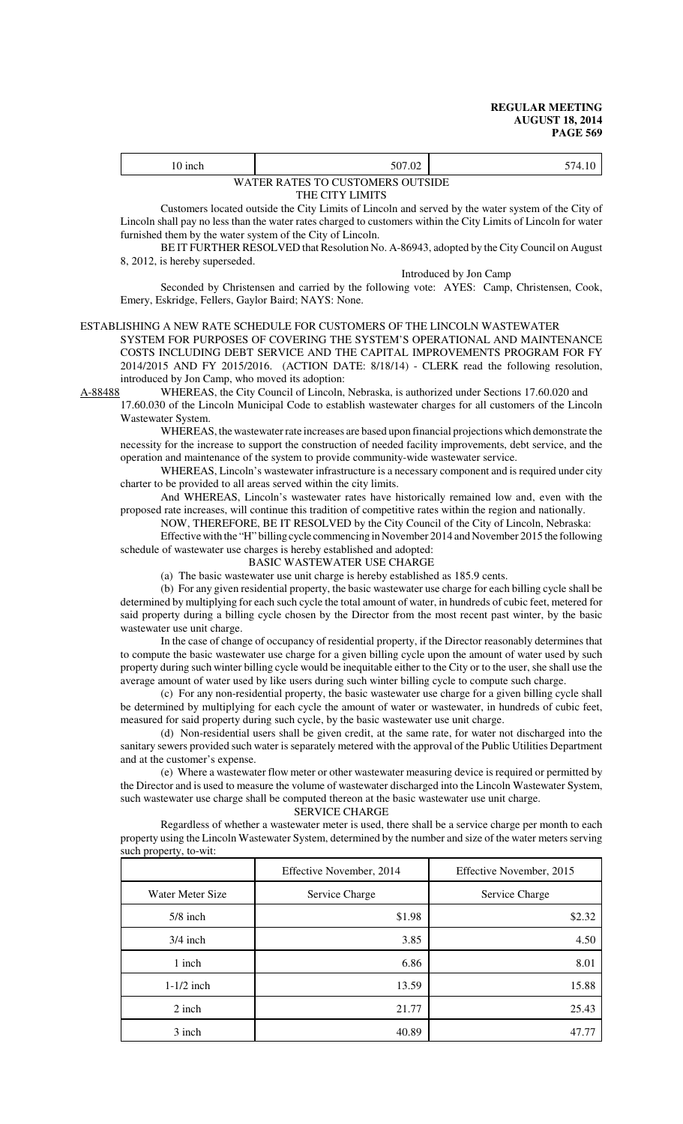| 10 inch | 507.02                           | 574.10 |
|---------|----------------------------------|--------|
|         | WATER RATES TO CUSTOMERS OUTSIDE |        |
|         | THE CITY LIMITS                  |        |

THE CITY LIMITS

Customers located outside the City Limits of Lincoln and served by the water system of the City of Lincoln shall pay no less than the water rates charged to customers within the City Limits of Lincoln for water furnished them by the water system of the City of Lincoln.

BE IT FURTHER RESOLVED that Resolution No. A-86943, adopted by the City Council on August 8, 2012, is hereby superseded.

Introduced by Jon Camp

Seconded by Christensen and carried by the following vote: AYES: Camp, Christensen, Cook, Emery, Eskridge, Fellers, Gaylor Baird; NAYS: None.

#### ESTABLISHING A NEW RATE SCHEDULE FOR CUSTOMERS OF THE LINCOLN WASTEWATER

SYSTEM FOR PURPOSES OF COVERING THE SYSTEM'S OPERATIONAL AND MAINTENANCE COSTS INCLUDING DEBT SERVICE AND THE CAPITAL IMPROVEMENTS PROGRAM FOR FY 2014/2015 AND FY 2015/2016. (ACTION DATE: 8/18/14) - CLERK read the following resolution, introduced by Jon Camp, who moved its adoption:<br>A-88488 WHEREAS, the City Council of Lincoln.

WHEREAS, the City Council of Lincoln, Nebraska, is authorized under Sections 17.60.020 and 17.60.030 of the Lincoln Municipal Code to establish wastewater charges for all customers of the Lincoln

Wastewater System.

WHEREAS, the wastewater rate increases are based upon financial projections which demonstrate the necessity for the increase to support the construction of needed facility improvements, debt service, and the operation and maintenance of the system to provide community-wide wastewater service.

WHEREAS, Lincoln's wastewater infrastructure is a necessary component and is required under city charter to be provided to all areas served within the city limits.

And WHEREAS, Lincoln's wastewater rates have historically remained low and, even with the proposed rate increases, will continue this tradition of competitive rates within the region and nationally.

NOW, THEREFORE, BE IT RESOLVED by the City Council of the City of Lincoln, Nebraska:

Effective with the "H" billing cycle commencing in November 2014 and November 2015 the following schedule of wastewater use charges is hereby established and adopted:

BASIC WASTEWATER USE CHARGE

(a) The basic wastewater use unit charge is hereby established as 185.9 cents.

(b) For any given residential property, the basic wastewater use charge for each billing cycle shall be determined by multiplying for each such cycle the total amount of water, in hundreds of cubic feet, metered for said property during a billing cycle chosen by the Director from the most recent past winter, by the basic wastewater use unit charge.

In the case of change of occupancy of residential property, if the Director reasonably determines that to compute the basic wastewater use charge for a given billing cycle upon the amount of water used by such property during such winter billing cycle would be inequitable either to the City or to the user, she shall use the average amount of water used by like users during such winter billing cycle to compute such charge.

(c) For any non-residential property, the basic wastewater use charge for a given billing cycle shall be determined by multiplying for each cycle the amount of water or wastewater, in hundreds of cubic feet, measured for said property during such cycle, by the basic wastewater use unit charge.

(d) Non-residential users shall be given credit, at the same rate, for water not discharged into the sanitary sewers provided such water is separately metered with the approval of the Public Utilities Department and at the customer's expense.

(e) Where a wastewater flow meter or other wastewater measuring device is required or permitted by the Director and is used to measure the volume of wastewater discharged into the Lincoln Wastewater System, such wastewater use charge shall be computed thereon at the basic wastewater use unit charge.

SERVICE CHARGE

Regardless of whether a wastewater meter is used, there shall be a service charge per month to each property using the Lincoln Wastewater System, determined by the number and size of the water meters serving such property, to-wit:

|                  | Effective November, 2014 | Effective November, 2015 |
|------------------|--------------------------|--------------------------|
| Water Meter Size | Service Charge           | Service Charge           |
| $5/8$ inch       | \$1.98                   | \$2.32                   |
| $3/4$ inch       | 3.85                     | 4.50                     |
| 1 inch           | 6.86                     | 8.01                     |
| $1-1/2$ inch     | 13.59                    | 15.88                    |
| $2$ inch         | 21.77                    | 25.43                    |
| 3 inch           | 40.89                    | 47.77                    |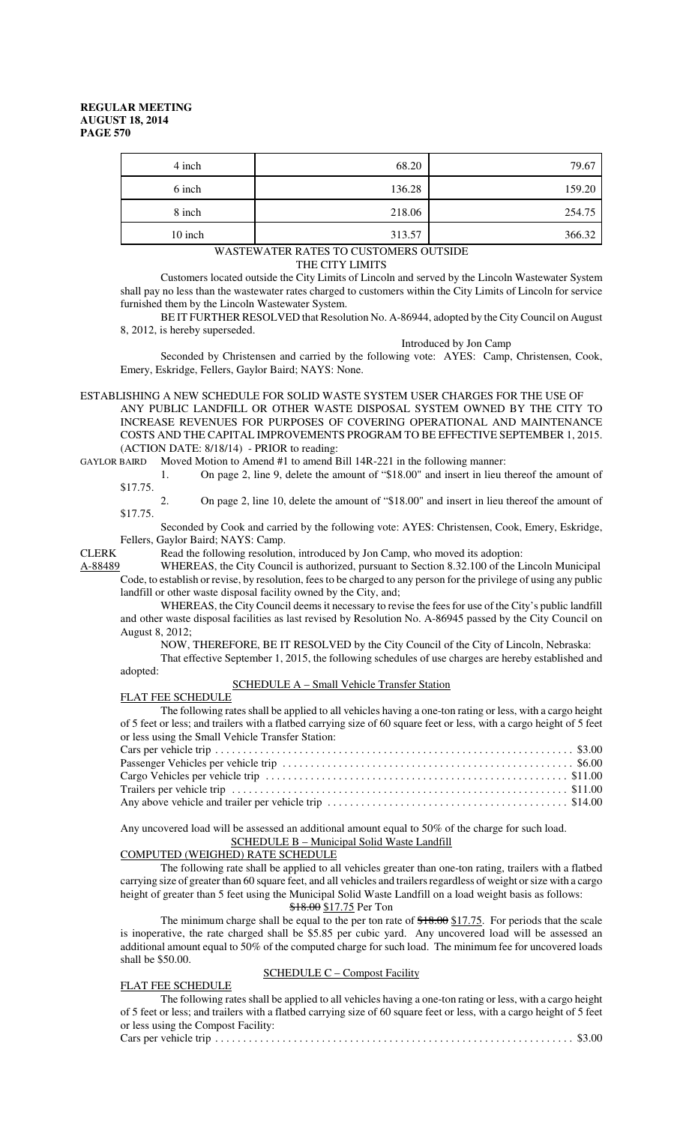| 4 inch  | 68.20  | 79.67  |
|---------|--------|--------|
| 6 inch  | 136.28 | 159.20 |
| 8 inch  | 218.06 | 254.75 |
| 10 inch | 313.57 | 366.32 |

## WASTEWATER RATES TO CUSTOMERS OUTSIDE

THE CITY LIMITS

Customers located outside the City Limits of Lincoln and served by the Lincoln Wastewater System shall pay no less than the wastewater rates charged to customers within the City Limits of Lincoln for service furnished them by the Lincoln Wastewater System.

BE IT FURTHER RESOLVED that Resolution No. A-86944, adopted by the City Council on August 8, 2012, is hereby superseded.

Introduced by Jon Camp

Seconded by Christensen and carried by the following vote: AYES: Camp, Christensen, Cook, Emery, Eskridge, Fellers, Gaylor Baird; NAYS: None.

ESTABLISHING A NEW SCHEDULE FOR SOLID WASTE SYSTEM USER CHARGES FOR THE USE OF ANY PUBLIC LANDFILL OR OTHER WASTE DISPOSAL SYSTEM OWNED BY THE CITY TO INCREASE REVENUES FOR PURPOSES OF COVERING OPERATIONAL AND MAINTENANCE COSTS AND THE CAPITAL IMPROVEMENTS PROGRAM TO BE EFFECTIVE SEPTEMBER 1, 2015. (ACTION DATE: 8/18/14) - PRIOR to reading:

GAYLOR BAIRD Moved Motion to Amend #1 to amend Bill 14R-221 in the following manner:

1. On page 2, line 9, delete the amount of "\$18.00" and insert in lieu thereof the amount of \$17.75.

2. On page 2, line 10, delete the amount of "\$18.00" and insert in lieu thereof the amount of \$17.75.

Seconded by Cook and carried by the following vote: AYES: Christensen, Cook, Emery, Eskridge, Fellers, Gaylor Baird; NAYS: Camp.

CLERK Read the following resolution, introduced by Jon Camp, who moved its adoption:

A-88489 WHEREAS, the City Council is authorized, pursuant to Section 8.32.100 of the Lincoln Municipal Code, to establish or revise, by resolution, fees to be charged to any person for the privilege of using any public landfill or other waste disposal facility owned by the City, and;

WHEREAS, the City Council deems it necessary to revise the fees for use of the City's public landfill and other waste disposal facilities as last revised by Resolution No. A-86945 passed by the City Council on August 8, 2012;

NOW, THEREFORE, BE IT RESOLVED by the City Council of the City of Lincoln, Nebraska:

That effective September 1, 2015, the following schedules of use charges are hereby established and adopted:

SCHEDULE A – Small Vehicle Transfer Station

# FLAT FEE SCHEDULE

The following rates shall be applied to all vehicles having a one-ton rating or less, with a cargo height of 5 feet or less; and trailers with a flatbed carrying size of 60 square feet or less, with a cargo height of 5 feet or less using the Small Vehicle Transfer Station:

Any uncovered load will be assessed an additional amount equal to 50% of the charge for such load. SCHEDULE B – Municipal Solid Waste Landfill

COMPUTED (WEIGHED) RATE SCHEDULE

The following rate shall be applied to all vehicles greater than one-ton rating, trailers with a flatbed carrying size of greater than 60 square feet, and all vehicles and trailers regardless of weight or size with a cargo height of greater than 5 feet using the Municipal Solid Waste Landfill on a load weight basis as follows: \$18.00 \$17.75 Per Ton

The minimum charge shall be equal to the per ton rate of  $$18.00 \text{ $17.75}$ . For periods that the scale is inoperative, the rate charged shall be \$5.85 per cubic yard. Any uncovered load will be assessed an additional amount equal to 50% of the computed charge for such load. The minimum fee for uncovered loads shall be \$50.00.

#### SCHEDULE C – Compost Facility

## FLAT FEE SCHEDULE

The following rates shall be applied to all vehicles having a one-ton rating or less, with a cargo height of 5 feet or less; and trailers with a flatbed carrying size of 60 square feet or less, with a cargo height of 5 feet or less using the Compost Facility: Cars per vehicle trip . . . . . . . . . . . . . . . . . . . . . . . . . . . . . . . . . . . . . . . . . . . . . . . . . . . . . . . . . . . . . . . . \$3.00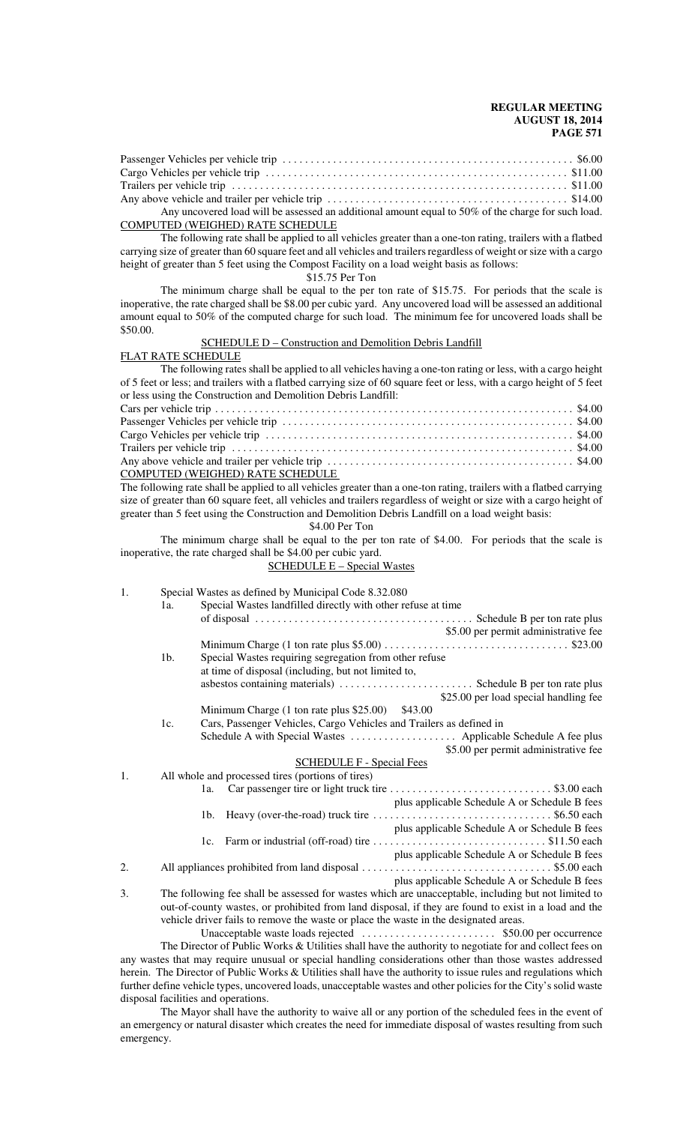| Any uncovered load will be assessed an additional amount equal to 50% of the charge for such load. |  |
|----------------------------------------------------------------------------------------------------|--|

#### COMPUTED (WEIGHED) RATE SCHEDULE

The following rate shall be applied to all vehicles greater than a one-ton rating, trailers with a flatbed carrying size of greater than 60 square feet and all vehicles and trailers regardless of weight or size with a cargo height of greater than 5 feet using the Compost Facility on a load weight basis as follows:

\$15.75 Per Ton

The minimum charge shall be equal to the per ton rate of \$15.75. For periods that the scale is inoperative, the rate charged shall be \$8.00 per cubic yard. Any uncovered load will be assessed an additional amount equal to 50% of the computed charge for such load. The minimum fee for uncovered loads shall be \$50.00.

SCHEDULE D - Construction and Demolition Debris Landfill

### FLAT RATE SCHEDULE

The following rates shall be applied to all vehicles having a one-ton rating or less, with a cargo height of 5 feet or less; and trailers with a flatbed carrying size of 60 square feet or less, with a cargo height of 5 feet or less using the Construction and Demolition Debris Landfill:

| COMPUTED (WEIGHED) RATE SCHEDULE |  |
|----------------------------------|--|

The following rate shall be applied to all vehicles greater than a one-ton rating, trailers with a flatbed carrying size of greater than 60 square feet, all vehicles and trailers regardless of weight or size with a cargo height of greater than 5 feet using the Construction and Demolition Debris Landfill on a load weight basis:

\$4.00 Per Ton

The minimum charge shall be equal to the per ton rate of \$4.00. For periods that the scale is inoperative, the rate charged shall be \$4.00 per cubic yard.

## SCHEDULE E – Special Wastes

| 1. | 1a.    | Special Wastes as defined by Municipal Code 8.32.080<br>Special Wastes landfilled directly with other refuse at time |
|----|--------|----------------------------------------------------------------------------------------------------------------------|
|    |        | \$5.00 per permit administrative fee                                                                                 |
|    |        |                                                                                                                      |
|    | $1b$ . | Special Wastes requiring segregation from other refuse                                                               |
|    |        | at time of disposal (including, but not limited to,                                                                  |
|    |        |                                                                                                                      |
|    |        | \$25.00 per load special handling fee                                                                                |
|    |        | Minimum Charge (1 ton rate plus \$25.00) \$43.00                                                                     |
|    | 1c.    | Cars, Passenger Vehicles, Cargo Vehicles and Trailers as defined in                                                  |
|    |        |                                                                                                                      |
|    |        | \$5.00 per permit administrative fee                                                                                 |
|    |        | <b>SCHEDULE F - Special Fees</b>                                                                                     |
| 1. |        | All whole and processed tires (portions of tires)                                                                    |
|    |        | 1a.                                                                                                                  |
|    |        | plus applicable Schedule A or Schedule B fees                                                                        |
|    |        | 1b.                                                                                                                  |
|    |        | plus applicable Schedule A or Schedule B fees                                                                        |
|    |        | 1c.                                                                                                                  |
|    |        | plus applicable Schedule A or Schedule B fees                                                                        |
| 2. |        |                                                                                                                      |
|    |        | plus applicable Schedule A or Schedule B fees                                                                        |
| 3. |        | The following fee shall be assessed for wastes which are unacceptable, including but not limited to                  |
|    |        | out-of-county wastes, or prohibited from land disposal, if they are found to exist in a load and the                 |

vehicle driver fails to remove the waste or place the waste in the designated areas. Unacceptable waste loads rejected . . . . . . . . . . . . . . . . . . . . . . . . \$50.00 per occurrence The Director of Public Works & Utilities shall have the authority to negotiate for and collect fees on any wastes that may require unusual or special handling considerations other than those wastes addressed herein. The Director of Public Works & Utilities shall have the authority to issue rules and regulations which further define vehicle types, uncovered loads, unacceptable wastes and other policies for the City's solid waste

disposal facilities and operations. The Mayor shall have the authority to waive all or any portion of the scheduled fees in the event of an emergency or natural disaster which creates the need for immediate disposal of wastes resulting from such emergency.